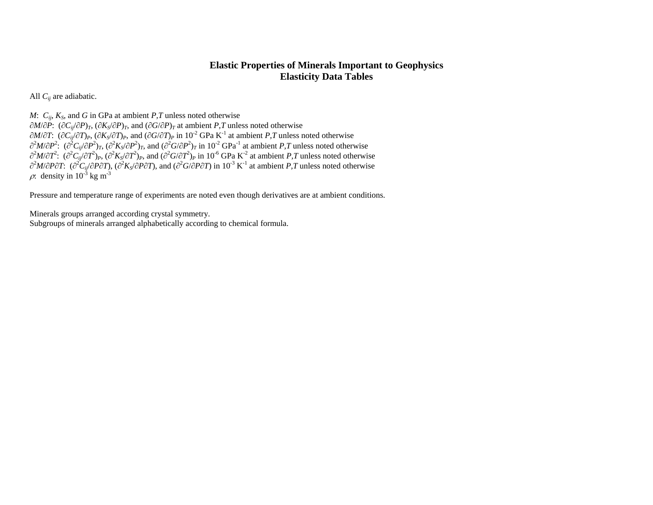# **Elastic Properties of Minerals Important to Geophysics Elasticity Data Tables**

All *Cij* are adiabatic.

*M*:  $C_{ij}$ ,  $K_S$ , and *G* in GPa at ambient *P*, *T* unless noted otherwise

 $\partial M/\partial P$ :  $(\partial C_{ij}/\partial P)_T$ ,  $(\partial K_S/\partial P)_T$ , and  $(\partial G/\partial P)_T$  at ambient *P*, *T* unless noted otherwise  $\partial M/\partial T$ :  $(\partial C_{ij}/\partial T)_P$ ,  $(\partial K_S/\partial T)_P$ , and  $(\partial G/\partial T)_P$  in 10<sup>-2</sup> GPa K<sup>-1</sup> at ambient *P,T* unless noted otherwise  $\partial^2 M/\partial P^2$ :  $(\partial^2 C_{ij}/\partial P^2)_T$ ,  $(\partial^2 K_S/\partial P^2)_T$ , and  $(\partial^2 G/\partial P^2)_T$  in  $10^{-2}$  GPa<sup>-1</sup> at ambient *P*,*T* unless noted otherwise  $\partial^2 M/\partial T^2$ :  $(\partial^2 C_{ij}/\partial T^2)_P$ ,  $(\partial^2 K_S/\partial T^2)_P$ , and  $(\partial^2 G/\partial T^2)_P$  in 10<sup>-6</sup> GPa K<sup>-2</sup> at ambient *P,T* unless noted otherwise  $\partial^2 M/\partial P \partial T$ : ( $\partial^2 C_{ij}/\partial P \partial T$ ), ( $\partial^2 K_S/\partial P \partial T$ ), and ( $\partial^2 G/\partial P \partial T$ ) in  $10^{-3}$  K<sup>-1</sup> at ambient *P*, *T* unless noted otherwise  $\beta$ : density in 10<sup>-3</sup> kg m<sup>-3</sup>

Pressure and temperature range of experiments are noted even though derivatives are at ambient conditions.

Minerals groups arranged according crystal symmetry. Subgroups of minerals arranged alphabetically according to chemical formula.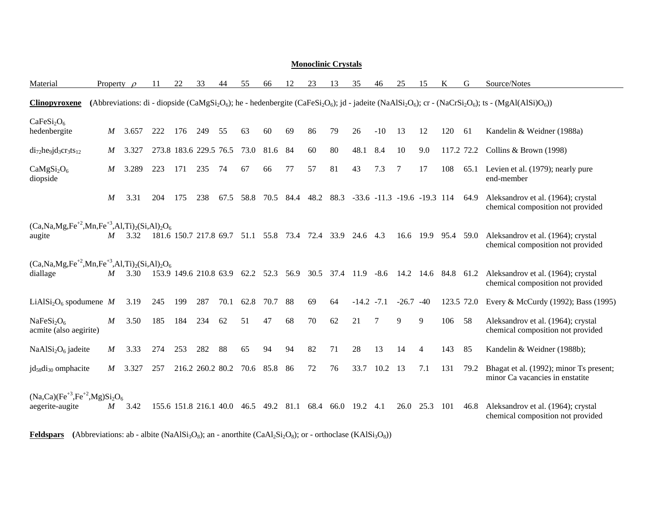|                                                                             | NIUIIUCIIIIIC UI VStais |                  |                 |     |     |                        |      |                                            |      |      |      |                                       |              |                |             |                |                     |      |                                                                                                                                                                                                                                                                 |
|-----------------------------------------------------------------------------|-------------------------|------------------|-----------------|-----|-----|------------------------|------|--------------------------------------------|------|------|------|---------------------------------------|--------------|----------------|-------------|----------------|---------------------|------|-----------------------------------------------------------------------------------------------------------------------------------------------------------------------------------------------------------------------------------------------------------------|
| Material                                                                    |                         |                  | Property $\rho$ | 11  | 22  | 33                     | 44   | 55                                         | 66   | 12   | 23   | 13                                    | 35           | 46             | 25          | 15             | K                   | G    | Source/Notes                                                                                                                                                                                                                                                    |
| <b>Clinopyroxene</b>                                                        |                         |                  |                 |     |     |                        |      |                                            |      |      |      |                                       |              |                |             |                |                     |      | (Abbreviations: di - diopside (CaMgSi <sub>2</sub> O <sub>6</sub> ); he - hedenbergite (CaFeSi <sub>2</sub> O <sub>6</sub> ); jd - jadeite (NaAlSi <sub>2</sub> O <sub>6</sub> ); cr - (NaCrSi <sub>2</sub> O <sub>6</sub> ); ts - (MgAl(AlSi)O <sub>6</sub> )) |
| CaFeSi <sub>2</sub> O <sub>6</sub><br>hedenbergite                          |                         | $\boldsymbol{M}$ | 3.657           | 222 | 176 | 249                    | 55   | 63                                         | 60   | 69   | 86   | 79                                    | 26           | $-10$          | 13          | 12             | 120                 | 61   | Kandelin & Weidner (1988a)                                                                                                                                                                                                                                      |
| $di_{72}$ he <sub>9</sub> jd <sub>3</sub> cr <sub>3</sub> ts <sub>12</sub>  |                         | M                | 3.327           |     |     | 273.8 183.6 229.5 76.5 |      | 73.0                                       | 81.6 | -84  | 60   | 80                                    | 48.1         | 8.4            | 10          | 9.0            | 117.2 72.2          |      | Collins & Brown (1998)                                                                                                                                                                                                                                          |
| CaMgSi <sub>2</sub> O <sub>6</sub><br>diopside                              |                         | $\boldsymbol{M}$ | 3.289           | 223 | 171 | 235                    | 74   | 67                                         | 66   | 77   | 57   | 81                                    | 43           | 7.3            | 7           | 17             | 108                 | 65.1 | Levien et al. (1979); nearly pure<br>end-member                                                                                                                                                                                                                 |
|                                                                             |                         | $\boldsymbol{M}$ | 3.31            | 204 | 175 | 238                    | 67.5 | 58.8                                       | 70.5 | 84.4 |      | 48.2 88.3 -33.6 -11.3 -19.6 -19.3 114 |              |                |             |                |                     | 64.9 | Aleksandrov et al. (1964); crystal<br>chemical composition not provided                                                                                                                                                                                         |
| $(Ca, Na, Mg, Fe^{+2}, Mn, Fe^{+3}, Al, Ti)_{2}(Si, Al)_{2}O_{6}$<br>augite |                         | M                | 3.32            |     |     |                        |      | 181.6 150.7 217.8 69.7 51.1 55.8 73.4 72.4 |      |      |      | 33.9                                  | 24.6 4.3     |                |             | 16.6 19.9 95.4 |                     | 59.0 | Aleksandrov et al. (1964); crystal<br>chemical composition not provided                                                                                                                                                                                         |
| $(Ca, Na, Mg, Fe^{+2}, Mn, Fe^{+3}, Al, Ti)_2(Si, Al)_2O_6$<br>diallage     |                         | M                | 3.30            |     |     | 153.9 149.6 210.8 63.9 |      | 62.2                                       | 52.3 | 56.9 | 30.5 | 37.4                                  | 11.9         | $-8.6$         |             |                | 14.2 14.6 84.8 61.2 |      | Aleksandrov et al. (1964); crystal<br>chemical composition not provided                                                                                                                                                                                         |
| LiAlSi <sub>2</sub> O <sub>6</sub> spodumene M                              |                         |                  | 3.19            | 245 | 199 | 287                    | 70.1 | 62.8                                       | 70.7 | 88   | 69   | 64                                    | $-14.2 -7.1$ |                | $-26.7 -40$ |                | 123.5 72.0          |      | Every & McCurdy (1992); Bass (1995)                                                                                                                                                                                                                             |
| NaFeSi <sub>2</sub> O <sub>6</sub><br>acmite (also aegirite)                |                         | $\boldsymbol{M}$ | 3.50            | 185 | 184 | 234                    | 62   | 51                                         | 47   | 68   | 70   | 62                                    | 21           | $\overline{7}$ | 9           | 9              | 106                 | 58   | Aleksandrov et al. (1964); crystal<br>chemical composition not provided                                                                                                                                                                                         |
| $NaAlSi2O6$ jadeite                                                         |                         | $\boldsymbol{M}$ | 3.33            | 274 | 253 | 282                    | 88   | 65                                         | 94   | 94   | 82   | 71                                    | 28           | 13             | 14          | 4              | 143                 | 85   | Kandelin & Weidner (1988b);                                                                                                                                                                                                                                     |
| $jd_{58}di_{30}$ omphacite                                                  |                         | M                | 3.327           | 257 |     | 216.2 260.2 80.2       |      | 70.6                                       | 85.8 | -86  | 72   | 76                                    | 33.7         | 10.2           | 13          | 7.1            | 131                 | 79.2 | Bhagat et al. (1992); minor Ts present;<br>minor Ca vacancies in enstatite                                                                                                                                                                                      |
| $(Na, Ca)(Fe^{+3}, Fe^{+2}, Mg)Si2O6$<br>aegerite-augite                    |                         | $\boldsymbol{M}$ | 3.42            |     |     | 155.6 151.8 216.1 40.0 |      | 46.5                                       | 49.2 | 81.1 | 68.4 | 66.0                                  | 19.2         | 4.1            | 26.0        | 25.3           | 101                 | 46.8 | Aleksandrov et al. (1964); crystal<br>chemical composition not provided                                                                                                                                                                                         |

**Feldspars** (Abbreviations: ab - albite (NaAlSi<sub>3</sub>O<sub>8</sub>); an - anorthite (CaAl<sub>2</sub>Si<sub>2</sub>O<sub>8</sub>); or - orthoclase (KAlSi<sub>3</sub>O<sub>8</sub>))

## **Monoclinic Crystals**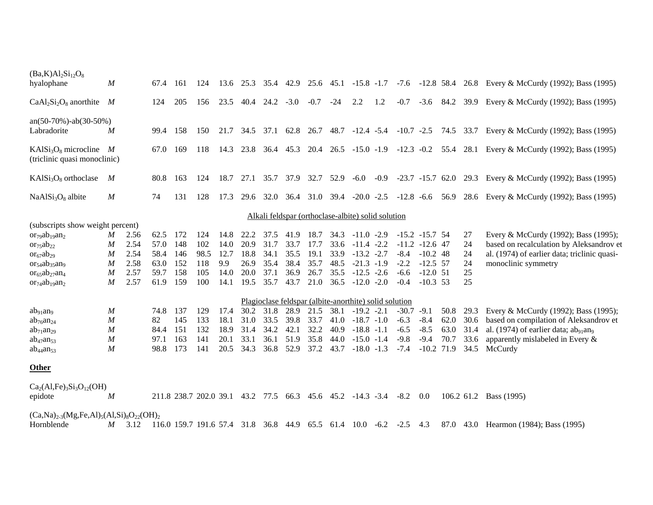| $(Ba,K)Al2Si12O8$<br>hyalophane                         | $\boldsymbol{M}$ |      | 67.4 | -161                   | 124  | 13.6 | 25.3      | 35.4      | 42.9                     |            |      | $25.6$ $45.1$ $-15.8$ $-1.7$                              |        |                    |              |      |      | $-7.6$ $-12.8$ 58.4 26.8 Every & McCurdy (1992); Bass (1995)                                      |
|---------------------------------------------------------|------------------|------|------|------------------------|------|------|-----------|-----------|--------------------------|------------|------|-----------------------------------------------------------|--------|--------------------|--------------|------|------|---------------------------------------------------------------------------------------------------|
|                                                         |                  |      |      |                        |      |      |           |           |                          |            |      |                                                           |        |                    |              |      |      |                                                                                                   |
| $CaAl2Si2O8$ anorthite M                                |                  |      | 124  | 205                    | 156  | 23.5 | 40.4      | 24.2      | $-3.0$                   | $-0.7 -24$ |      | 2.2                                                       | 1.2    | $-0.7$             |              |      |      | -3.6 84.2 39.9 Every & McCurdy (1992); Bass (1995)                                                |
| $an(50-70\%) - ab(30-50\%)$                             |                  |      |      |                        |      |      |           |           |                          |            |      |                                                           |        |                    |              |      |      |                                                                                                   |
| Labradorite                                             | $\boldsymbol{M}$ |      | 99.4 | 158                    | 150  | 21.7 | 34.5      | 37.1      |                          |            |      |                                                           |        |                    |              |      |      | 62.8 26.7 48.7 -12.4 -5.4 -10.7 -2.5 74.5 33.7 Every & McCurdy (1992); Bass (1995)                |
| $KAISi3O8$ microcline M<br>(triclinic quasi monoclinic) |                  |      | 67.0 | 169                    | 118  |      |           |           |                          |            |      |                                                           |        |                    |              |      |      | 14.3 23.8 36.4 45.3 20.4 26.5 -15.0 -1.9 -12.3 -0.2 55.4 28.1 Every & McCurdy (1992); Bass (1995) |
| $KAISi3O8$ orthoclase                                   | M                |      | 80.8 | 163                    | 124  | 18.7 | 27.1      |           | 35.7 37.9 32.7 52.9 -6.0 |            |      |                                                           | $-0.9$ |                    |              |      |      | -23.7 -15.7 62.0 29.3 Every & McCurdy (1992); Bass (1995)                                         |
| NaAlSi <sub>3</sub> O <sub>8</sub> albite               | $\boldsymbol{M}$ |      | 74   | 131                    | 128  | 17.3 |           |           |                          |            |      |                                                           |        |                    |              |      |      | 29.6 32.0 36.4 31.0 39.4 -20.0 -2.5 -12.8 -6.6 56.9 28.6 Every & McCurdy (1992); Bass (1995)      |
|                                                         |                  |      |      |                        |      |      |           |           |                          |            |      | Alkali feldspar (orthoclase-albite) solid solution        |        |                    |              |      |      |                                                                                                   |
| (subscripts show weight percent)                        |                  |      |      |                        |      |      |           |           |                          |            |      |                                                           |        |                    |              |      |      |                                                                                                   |
| $or_{79}ab_{19}an_2$                                    | M                | 2.56 | 62.5 | 172                    | 124  | 14.8 | 22.2      | 37.5      | 41.9                     | 18.7       | 34.3 | $-11.0 -2.9$                                              |        | $-15.2$ $-15.7$ 54 |              |      | 27   | Every & McCurdy (1992); Bass (1995);                                                              |
| $or_{75}ab_{22}$                                        | M                | 2.54 | 57.0 | 148                    | 102  | 14.0 | 20.9      | 31.7      | 33.7                     | 17.7       | 33.6 | $-11.4 -2.2$                                              |        | $-11.2$ $-12.6$ 47 |              |      | 24   | based on recalculation by Aleksandrov et                                                          |
| $or_{67}ab_{29}$                                        | $\boldsymbol{M}$ | 2.54 | 58.4 | 146                    | 98.5 | 12.7 | 18.8      | 34.1      | 35.5                     | 19.1       | 33.9 | $-13.2 -2.7$                                              |        | $-8.4$             | $-10.2$ 48   |      | 24   | al. (1974) of earlier data; triclinic quasi-                                                      |
| $or_{54}ab_{35}an_9$                                    | M                | 2.58 | 63.0 | 152                    | 118  | 9.9  | 26.9      | 35.4      | 38.4                     | 35.7       | 48.5 | $-21.3 -1.9$                                              |        | $-2.2$             | $-12.5$ 57   |      | 24   | monoclinic symmetry                                                                               |
| $or_{65}ab_{27}an_4$                                    | $\boldsymbol{M}$ | 2.57 | 59.7 | 158                    | 105  | 14.0 | 20.0      | 37.1      | 36.9                     | 26.7       | 35.5 | $-12.5 -2.6$                                              |        | $-6.6$             | $-12.0$ 51   |      | 25   |                                                                                                   |
| $\text{or}_{74}$ ab <sub>19</sub> an <sub>2</sub>       | $\boldsymbol{M}$ | 2.57 | 61.9 | 159                    | 100  | 14.1 | 19.5      | 35.7      | 43.7                     | 21.0       | 36.5 | $-12.0 -2.0$                                              |        | $-0.4$             | $-10.3$ 53   |      | 25   |                                                                                                   |
|                                                         |                  |      |      |                        |      |      |           |           |                          |            |      | Plagioclase feldspar (albite-anorthite) solid solution    |        |                    |              |      |      |                                                                                                   |
| ab <sub>91</sub> an <sub>9</sub>                        | $\boldsymbol{M}$ |      | 74.8 | - 137                  | 129  | 17.4 | 30.2      | 31.8      | 28.9                     | 21.5       | 38.1 | $-19.2 -2.1$                                              |        | $-30.7 -9.1$       |              | 50.8 | 29.3 | Every & McCurdy (1992); Bass (1995);                                                              |
| $ab_{76}an_{24}$                                        | M                |      | 82   | 145                    | 133  | 18.1 | 31.0      | 33.5      | 39.8                     | 33.7       | 41.0 | $-18.7 - 1.0$                                             |        | $-6.3$             | $-8.4$       | 62.0 | 30.6 | based on compilation of Aleksandrov et                                                            |
| $ab_{71}an_{29}$                                        | $\boldsymbol{M}$ |      | 84.4 | 151                    | 132  | 18.9 | 31.4      | 34.2      | 42.1                     | 32.2       | 40.9 | $-18.8 - 1.1$                                             |        | $-6.5$             | $-8.5$       | 63.0 | 31.4 | al. (1974) of earlier data; $ab_{91}$ an <sub>9</sub>                                             |
| $ab_{47}an_{53}$                                        | M                |      | 97.1 | 163                    | 141  | 20.1 | 33.1      | 36.1      | 51.9                     | 35.8       | 44.0 | $-15.0 - 1.4$                                             |        | $-9.8$             | $-9.4$       | 70.7 | 33.6 | apparently mislabeled in Every $\&$                                                               |
| $ab_{44}an_{53}$                                        | $\boldsymbol{M}$ |      | 98.8 | 173                    | 141  | 20.5 | 34.3      | 36.8 52.9 |                          | 37.2       | 43.7 | $-18.0 -1.3$                                              |        | $-7.4$             | $-10.2$ 71.9 |      | 34.5 | McCurdy                                                                                           |
| <b>Other</b>                                            |                  |      |      |                        |      |      |           |           |                          |            |      |                                                           |        |                    |              |      |      |                                                                                                   |
| $Ca2(Al,Fe)3Si3O12(OH)$                                 |                  |      |      |                        |      |      |           |           |                          |            |      |                                                           |        |                    |              |      |      |                                                                                                   |
| epidote                                                 | M                |      |      | 211.8 238.7 202.0 39.1 |      |      | 43.2 77.5 |           |                          |            |      | 66.3 45.6 45.2 -14.3 -3.4                                 |        | $-8.2$ 0.0         |              |      |      | 106.2 61.2 Bass (1995)                                                                            |
| $(Ca,Na)_{2-3}(Mg,Fe,Al)_{5}(Al,Si)_{8}O_{22}(OH)_{2}$  |                  |      |      |                        |      |      |           |           |                          |            |      |                                                           |        |                    |              |      |      |                                                                                                   |
| Hornblende                                              | M                | 3.12 |      |                        |      |      |           |           |                          |            |      | 116.0 159.7 191.6 57.4 31.8 36.8 44.9 65.5 61.4 10.0 -6.2 |        | $-2.5$             | 4.3          |      |      | 87.0 43.0 Hearmon (1984); Bass (1995)                                                             |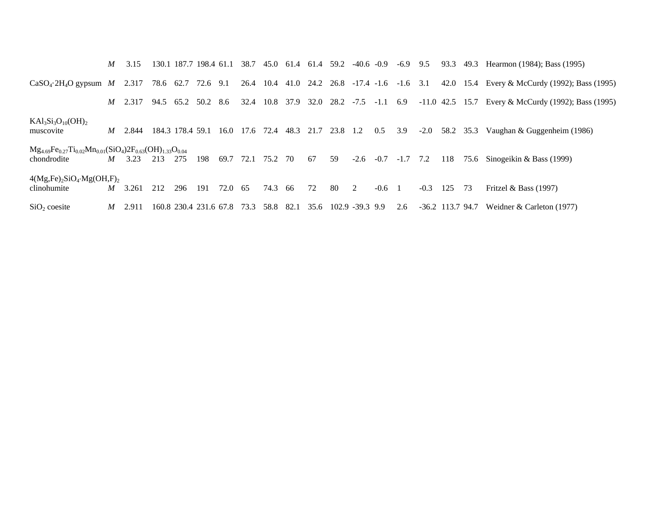|                                                                                          | M                | 3.15                              |     |                  | 130.1 187.7 198.4 61.1 |           |                |         |      |    |                    |                      |          | 38.7 45.0 61.4 61.4 59.2 -40.6 -0.9 -6.9 9.5 |                    | 93.3 |    | 49.3 Hearmon (1984); Bass (1995)                                                           |
|------------------------------------------------------------------------------------------|------------------|-----------------------------------|-----|------------------|------------------------|-----------|----------------|---------|------|----|--------------------|----------------------|----------|----------------------------------------------|--------------------|------|----|--------------------------------------------------------------------------------------------|
| $CaSO_4$ -2H <sub>4</sub> O gypsum <i>M</i> 2.317 78.6 62.7 72.6 9.1                     |                  |                                   |     |                  |                        |           |                |         |      |    |                    |                      |          | 26.4 10.4 41.0 24.2 26.8 -17.4 -1.6 -1.6 3.1 |                    |      |    | 42.0 15.4 Every & McCurdy (1992); Bass (1995)                                              |
|                                                                                          |                  | <i>M</i> 2.317 94.5 65.2 50.2 8.6 |     |                  |                        |           |                |         |      |    |                    |                      |          |                                              |                    |      |    | 32.4 10.8 37.9 32.0 28.2 -7.5 -1.1 6.9 -11.0 42.5 15.7 Every & McCurdy (1992); Bass (1995) |
| $KAl3Si3O10(OH)2$<br>muscovite                                                           | $\boldsymbol{M}$ | 2.844                             |     | 184.3 178.4 59.1 |                        |           | 16.0 17.6 72.4 |         |      |    | 48.3 21.7 23.8 1.2 |                      | 0.5      | 3.9                                          |                    |      |    | $-2.0$ 58.2 35.3 Vaughan & Guggenheim (1986)                                               |
| $Mg_{4.69}Fe_{0.27}Ti_{0.02}Mn_{0.01}(SiO_4)2F_{0.63}(OH)_{1.33}O_{0.04}$<br>chondrodite | M                | 3.23                              | 213 | 275              | 198                    | 69.7 72.1 |                | 75.2 70 |      | 67 | 59                 |                      |          | $-2.6$ $-0.7$ $-1.7$ $7.2$                   |                    | 118  |    | 75.6 Sinogeikin & Bass $(1999)$                                                            |
| $4(Mg,Fe)_2SiO_4 \cdot Mg(OH,F)_2$<br>clinohumite                                        | M                | 3.261                             | 212 | 296              | 191                    | 72.0 65   |                | 74.3 66 |      | 72 | 80                 | 2                    | $-0.6$ 1 |                                              | $-0.3$             | 125  | 73 | Fritzel & Bass $(1997)$                                                                    |
| $SiO2$ coesite                                                                           | M                | 2.911                             |     |                  | 160.8 230.4 231.6 67.8 |           | 73.3           | 58.8    | 82.1 |    |                    | 35.6 102.9 -39.3 9.9 |          | 2.6                                          | $-36.2$ 113.7 94.7 |      |    | Weidner & Carleton $(1977)$                                                                |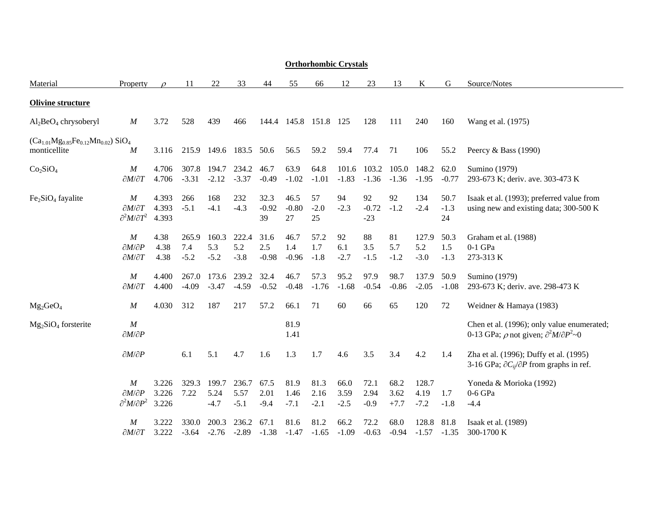#### **Orthorhombic Crystals**

| Material                                                                  | Property                                                                   | $\mathcal{D}$           | 11                     | 22                      | 33                      | 44                     | 55                     | 66                     | 12                     | 23                     | 13                     |                         | G                     | Source/Notes                                                                                                   |
|---------------------------------------------------------------------------|----------------------------------------------------------------------------|-------------------------|------------------------|-------------------------|-------------------------|------------------------|------------------------|------------------------|------------------------|------------------------|------------------------|-------------------------|-----------------------|----------------------------------------------------------------------------------------------------------------|
| <b>Olivine structure</b>                                                  |                                                                            |                         |                        |                         |                         |                        |                        |                        |                        |                        |                        |                         |                       |                                                                                                                |
| $Al2BeO4 chrysoberyl$                                                     | $\boldsymbol{M}$                                                           | 3.72                    | 528                    | 439                     | 466                     | 144.4                  | 145.8                  | 151.8                  | 125                    | 128                    | 111                    | 240                     | 160                   | Wang et al. (1975)                                                                                             |
| $(Ca_{1.01}Mg_{0.85}Fe_{0.12}Mn_{0.02})$ SiO <sub>4</sub><br>monticellite | M                                                                          | 3.116                   | 215.9                  |                         | 149.6 183.5             | 50.6                   | 56.5                   | 59.2                   | 59.4                   | 77.4                   | 71                     | 106                     | 55.2                  | Peercy & Bass $(1990)$                                                                                         |
| Co <sub>2</sub> SiO <sub>4</sub>                                          | $\boldsymbol{M}$<br>$\partial M/\partial T$                                | 4.706<br>4.706          | 307.8<br>$-3.31$       | 194.7<br>$-2.12$        | 234.2<br>$-3.37$        | 46.7<br>$-0.49$        | 63.9<br>$-1.02$        | 64.8<br>$-1.01$        | 101.6<br>$-1.83$       | 103.2<br>$-1.36$       | 105.0<br>$-1.36$       | 148.2<br>$-1.95$        | 62.0<br>$-0.77$       | Sumino (1979)<br>293-673 K; deriv. ave. 303-473 K                                                              |
| $Fe2SiO4$ fayalite                                                        | $\boldsymbol{M}$<br>$\partial M/\partial T$<br>$\partial^2 M/\partial T^2$ | 4.393<br>4.393<br>4.393 | 266<br>$-5.1$          | 168<br>$-4.1$           | 232<br>$-4.3$           | 32.3<br>$-0.92$<br>39  | 46.5<br>$-0.80$<br>27  | 57<br>$-2.0$<br>25     | 94<br>$-2.3$           | 92<br>$-0.72$<br>$-23$ | 92<br>$-1.2$           | 134<br>$-2.4$           | 50.7<br>$-1.3$<br>24  | Isaak et al. (1993); preferred value from<br>using new and existing data; 300-500 K                            |
|                                                                           | $\overline{M}$<br>$\partial M/\partial P$<br>$\partial M/\partial T$       | 4.38<br>4.38<br>4.38    | 265.9<br>7.4<br>$-5.2$ | 160.3<br>5.3<br>$-5.2$  | 222.4<br>5.2<br>$-3.8$  | 31.6<br>2.5<br>$-0.98$ | 46.7<br>1.4<br>$-0.96$ | 57.2<br>1.7<br>$-1.8$  | 92<br>6.1<br>$-2.7$    | 88<br>3.5<br>$-1.5$    | 81<br>5.7<br>$-1.2$    | 127.9<br>5.2<br>$-3.0$  | 50.3<br>1.5<br>$-1.3$ | Graham et al. (1988)<br>$0-1$ GPa<br>273-313 K                                                                 |
|                                                                           | $\cal M$<br>$\partial M/\partial T$                                        | 4.400<br>4.400          | 267.0<br>$-4.09$       | $-3.47$                 | 173.6 239.2<br>$-4.59$  | 32.4<br>$-0.52$        | 46.7<br>$-0.48$        | 57.3<br>$-1.76$        | 95.2<br>$-1.68$        | 97.9<br>$-0.54$        | 98.7<br>$-0.86$        | 137.9<br>$-2.05$        | 50.9<br>$-1.08$       | Sumino (1979)<br>293-673 K; deriv. ave. 298-473 K                                                              |
| $Mg_2GeO_4$                                                               | $\boldsymbol{M}$                                                           | 4.030                   | 312                    | 187                     | 217                     | 57.2                   | 66.1                   | 71                     | 60                     | 66                     | 65                     | 120                     | 72                    | Weidner & Hamaya (1983)                                                                                        |
| $Mg_2SiO_4$ forsterite                                                    | $\cal M$<br>$\partial M/\partial P$                                        |                         |                        |                         |                         |                        | 81.9<br>1.41           |                        |                        |                        |                        |                         |                       | Chen et al. (1996); only value enumerated;<br>0-13 GPa; $\rho$ not given; $\partial^2 M / \partial P^2 \sim 0$ |
|                                                                           | $\partial M/\partial P$                                                    |                         | 6.1                    | 5.1                     | 4.7                     | 1.6                    | 1.3                    | 1.7                    | 4.6                    | 3.5                    | 3.4                    | 4.2                     | 1.4                   | Zha et al. (1996); Duffy et al. (1995)<br>3-16 GPa; $\partial C_{ii}/\partial P$ from graphs in ref.           |
|                                                                           | $\boldsymbol{M}$<br>$\partial M/\partial P$<br>$\partial^2 M/\partial P^2$ | 3.226<br>3.226<br>3.226 | 329.3<br>7.22          | 199.7<br>5.24<br>$-4.7$ | 236.7<br>5.57<br>$-5.1$ | 67.5<br>2.01<br>$-9.4$ | 81.9<br>1.46<br>$-7.1$ | 81.3<br>2.16<br>$-2.1$ | 66.0<br>3.59<br>$-2.5$ | 72.1<br>2.94<br>$-0.9$ | 68.2<br>3.62<br>$+7.7$ | 128.7<br>4.19<br>$-7.2$ | 1.7<br>$-1.8$         | Yoneda & Morioka (1992)<br>$0-6$ GPa<br>$-4.4$                                                                 |
|                                                                           | $\boldsymbol{M}$<br>$\partial M/\partial T$                                | 3.222<br>3.222          | 330.0<br>$-3.64$       | 200.3<br>$-2.76$        | 236.2<br>$-2.89$        | 67.1<br>$-1.38$        | 81.6<br>$-1.47$        | 81.2<br>$-1.65$        | 66.2<br>$-1.09$        | 72.2<br>$-0.63$        | 68.0<br>$-0.94$        | 128.8<br>$-1.57$        | 81.8<br>$-1.35$       | Isaak et al. (1989)<br>300-1700 K                                                                              |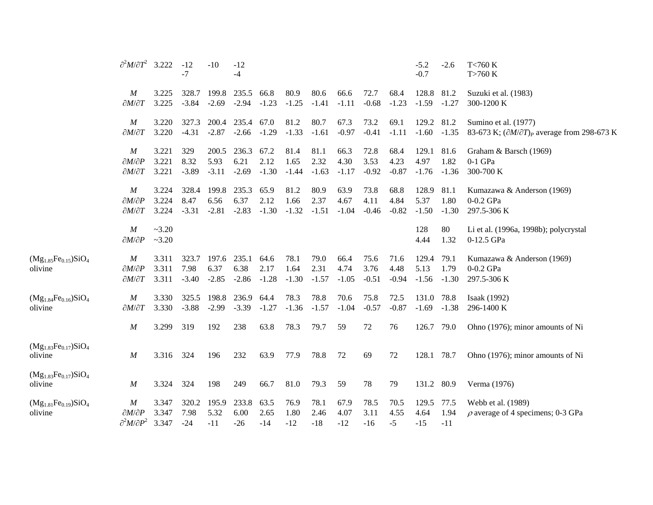|                                        | $\partial^2 M/\partial T^2$ 3.222                                          |                         | $-12$<br>$-7$            | $-10$                    | $-12$<br>$-4$            |                         |                         |                         |                         |                         |                         | $-5.2$<br>$-0.7$         | $-2.6$                  | T<760 K<br>T>760 K                                                                   |
|----------------------------------------|----------------------------------------------------------------------------|-------------------------|--------------------------|--------------------------|--------------------------|-------------------------|-------------------------|-------------------------|-------------------------|-------------------------|-------------------------|--------------------------|-------------------------|--------------------------------------------------------------------------------------|
|                                        | $\boldsymbol{M}$<br>$\partial M/\partial T$                                | 3.225<br>3.225          | 328.7<br>$-3.84$         | 199.8<br>$-2.69$         | 235.5<br>$-2.94$         | 66.8<br>$-1.23$         | 80.9<br>$-1.25$         | 80.6<br>$-1.41$         | 66.6<br>$-1.11$         | 72.7<br>$-0.68$         | 68.4<br>$-1.23$         | 128.8<br>$-1.59$         | 81.2<br>$-1.27$         | Suzuki et al. (1983)<br>300-1200 K                                                   |
|                                        | $\boldsymbol{M}$<br>$\partial M/\partial T$                                | 3.220<br>3.220          | 327.3<br>$-4.31$         | 200.4<br>$-2.87$         | 235.4 67.0<br>$-2.66$    | $-1.29$                 | 81.2<br>$-1.33$         | 80.7<br>$-1.61$         | 67.3<br>$-0.97$         | 73.2<br>$-0.41$         | 69.1<br>$-1.11$         | 129.2<br>$-1.60$         | 81.2<br>$-1.35$         | Sumino et al. (1977)<br>83-673 K; $(\partial M/\partial T)_P$ average from 298-673 K |
|                                        | M<br>$\partial M/\partial P$<br>$\partial M/\partial T$                    | 3.221<br>3.221<br>3.221 | 329<br>8.32<br>$-3.89$   | 200.5<br>5.93<br>$-3.11$ | 236.3<br>6.21<br>$-2.69$ | 67.2<br>2.12<br>$-1.30$ | 81.4<br>1.65<br>$-1.44$ | 81.1<br>2.32<br>$-1.63$ | 66.3<br>4.30<br>$-1.17$ | 72.8<br>3.53<br>$-0.92$ | 68.4<br>4.23<br>$-0.87$ | 129.1<br>4.97<br>$-1.76$ | 81.6<br>1.82<br>$-1.36$ | Graham & Barsch (1969)<br>$0-1$ GPa<br>300-700 K                                     |
|                                        | M<br>$\partial M/\partial P$<br>$\partial M/\partial T$                    | 3.224<br>3.224<br>3.224 | 328.4<br>8.47<br>$-3.31$ | 199.8<br>6.56<br>$-2.81$ | 235.3<br>6.37<br>$-2.83$ | 65.9<br>2.12<br>$-1.30$ | 81.2<br>1.66<br>$-1.32$ | 80.9<br>2.37<br>$-1.51$ | 63.9<br>4.67<br>$-1.04$ | 73.8<br>4.11<br>$-0.46$ | 68.8<br>4.84<br>$-0.82$ | 128.9<br>5.37<br>$-1.50$ | 81.1<br>1.80<br>$-1.30$ | Kumazawa & Anderson (1969)<br>0-0.2 GPa<br>297.5-306 K                               |
|                                        | $\boldsymbol{M}$<br>$\partial M/\partial P$                                | ~23.20<br>$-3.20$       |                          |                          |                          |                         |                         |                         |                         |                         |                         | 128<br>4.44              | 80<br>1.32              | Li et al. (1996a, 1998b); polycrystal<br>0-12.5 GPa                                  |
| $(Mg_{1.85}Fe_{0.15})SiO4$<br>olivine  | $\boldsymbol{M}$<br>$\partial M/\partial P$<br>$\partial M/\partial T$     | 3.311<br>3.311<br>3.311 | 323.7<br>7.98<br>$-3.40$ | 197.6<br>6.37<br>$-2.85$ | 235.1<br>6.38<br>$-2.86$ | 64.6<br>2.17<br>$-1.28$ | 78.1<br>1.64<br>$-1.30$ | 79.0<br>2.31<br>$-1.57$ | 66.4<br>4.74<br>$-1.05$ | 75.6<br>3.76<br>$-0.51$ | 71.6<br>4.48<br>$-0.94$ | 129.4<br>5.13<br>$-1.56$ | 79.1<br>1.79<br>$-1.30$ | Kumazawa & Anderson (1969)<br>0-0.2 GPa<br>297.5-306 K                               |
| $(Mg_{1.84}Fe_{0.16})SiO_4$<br>olivine | $\boldsymbol{M}$<br>$\partial M/\partial T$                                | 3.330<br>3.330          | 325.5<br>$-3.88$         | 198.8<br>$-2.99$         | 236.9<br>$-3.39$         | 64.4<br>$-1.27$         | 78.3<br>$-1.36$         | 78.8<br>$-1.57$         | 70.6<br>$-1.04$         | 75.8<br>$-0.57$         | 72.5<br>$-0.87$         | 131.0<br>$-1.69$         | 78.8<br>$-1.38$         | Isaak (1992)<br>296-1400 K                                                           |
|                                        | $\boldsymbol{M}$                                                           | 3.299                   | 319                      | 192                      | 238                      | 63.8                    | 78.3                    | 79.7                    | 59                      | 72                      | 76                      | 126.7                    | 79.0                    | Ohno (1976); minor amounts of Ni                                                     |
| $(Mg_{1.83}Fe_{0.17})SiO_4$<br>olivine | $\boldsymbol{M}$                                                           | 3.316                   | 324                      | 196                      | 232                      | 63.9                    | 77.9                    | 78.8                    | 72                      | 69                      | 72                      | 128.1                    | 78.7                    | Ohno (1976); minor amounts of Ni                                                     |
| $(Mg_{1.83}Fe_{0.17})SiO4$<br>olivine  | M                                                                          | 3.324                   | 324                      | 198                      | 249                      | 66.7                    | 81.0                    | 79.3                    | 59                      | 78                      | 79                      | 131.2                    | 80.9                    | Verma (1976)                                                                         |
| $(Mg_{1.81}Fe_{0.19})SiO_4$<br>olivine | $\boldsymbol{M}$<br>$\partial M/\partial P$<br>$\partial^2 M/\partial P^2$ | 3.347<br>3.347<br>3.347 | 320.2<br>7.98<br>$-24$   | 195.9<br>5.32<br>$-11$   | 233.8<br>6.00<br>$-26$   | 63.5<br>2.65<br>$-14$   | 76.9<br>1.80<br>$-12$   | 78.1<br>2.46<br>$-18$   | 67.9<br>4.07<br>$-12$   | 78.5<br>3.11<br>$-16$   | 70.5<br>4.55<br>-5      | 129.5<br>4.64<br>$-15$   | 77.5<br>1.94<br>$-11$   | Webb et al. (1989)<br>$\rho$ average of 4 specimens; 0-3 GPa                         |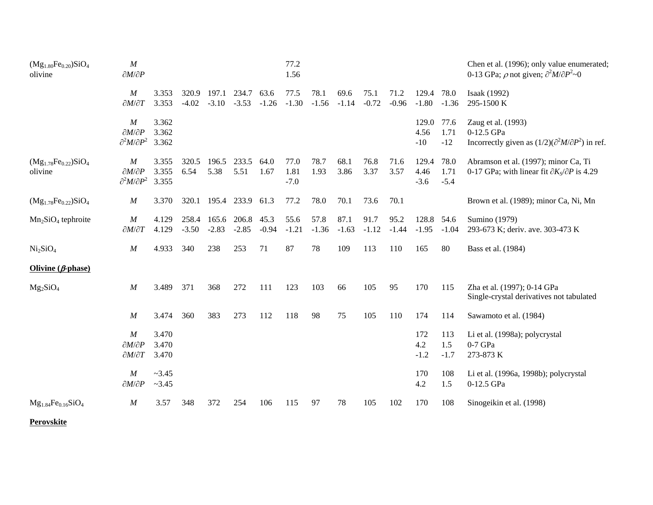| $(Mg_{1.80}Fe_{0.20})SiO4$<br>olivine  | $\boldsymbol{M}$<br>$\partial M/\partial P$                                      |                         |                  |                  |                  |                 | 77.2<br>1.56           |                 |                 |                 |                 |                         |                        | Chen et al. (1996); only value enumerated;<br>0-13 GPa; $\rho$ not given; $\partial^2 M / \partial P^2 \sim 0$ |
|----------------------------------------|----------------------------------------------------------------------------------|-------------------------|------------------|------------------|------------------|-----------------|------------------------|-----------------|-----------------|-----------------|-----------------|-------------------------|------------------------|----------------------------------------------------------------------------------------------------------------|
|                                        | $\boldsymbol{M}$<br>$\partial M/\partial T$                                      | 3.353<br>3.353          | 320.9<br>$-4.02$ | 197.1<br>$-3.10$ | 234.7<br>$-3.53$ | 63.6<br>$-1.26$ | 77.5<br>$-1.30$        | 78.1<br>$-1.56$ | 69.6<br>$-1.14$ | 75.1<br>$-0.72$ | 71.2<br>$-0.96$ | 129.4<br>$-1.80$        | 78.0<br>$-1.36$        | Isaak (1992)<br>295-1500 K                                                                                     |
|                                        | M<br>$\partial M/\partial P$<br>$\partial^2 M/\partial P^2$                      | 3.362<br>3.362<br>3.362 |                  |                  |                  |                 |                        |                 |                 |                 |                 | 129.0<br>4.56<br>$-10$  | 77.6<br>1.71<br>$-12$  | Zaug et al. (1993)<br>0-12.5 GPa<br>Incorrectly given as $(1/2)(\partial^2 M/\partial P^2)$ in ref.            |
| $(Mg_{1.78}Fe_{0.22})SiO_4$<br>olivine | $\boldsymbol{M}$<br>$\partial M/\partial P$<br>$\partial^2 M/\partial P^2$ 3.355 | 3.355<br>3.355          | 320.5<br>6.54    | 196.5<br>5.38    | 233.5<br>5.51    | 64.0<br>1.67    | 77.0<br>1.81<br>$-7.0$ | 78.7<br>1.93    | 68.1<br>3.86    | 76.8<br>3.37    | 71.6<br>3.57    | 129.4<br>4.46<br>$-3.6$ | 78.0<br>1.71<br>$-5.4$ | Abramson et al. (1997); minor Ca, Ti<br>0-17 GPa; with linear fit $\partial K_S/\partial P$ is 4.29            |
| $(Mg_{1.78}Fe_{0.22})SiO_4$            | $\boldsymbol{M}$                                                                 | 3.370                   | 320.1            |                  | 195.4 233.9 61.3 |                 | 77.2                   | 78.0            | 70.1            | 73.6            | 70.1            |                         |                        | Brown et al. (1989); minor Ca, Ni, Mn                                                                          |
| $Mn2SiO4$ tephroite                    | $\boldsymbol{M}$<br>$\partial M/\partial T$                                      | 4.129<br>4.129          | 258.4<br>$-3.50$ | 165.6<br>$-2.83$ | 206.8<br>$-2.85$ | 45.3<br>$-0.94$ | 55.6<br>$-1.21$        | 57.8<br>$-1.36$ | 87.1<br>$-1.63$ | 91.7<br>$-1.12$ | 95.2<br>$-1.44$ | 128.8 54.6<br>$-1.95$   | $-1.04$                | Sumino (1979)<br>293-673 K; deriv. ave. 303-473 K                                                              |
| Ni <sub>2</sub> SiO <sub>4</sub>       | $\boldsymbol{M}$                                                                 | 4.933                   | 340              | 238              | 253              | 71              | 87                     | 78              | 109             | 113             | 110             | 165                     | 80                     | Bass et al. (1984)                                                                                             |
| Olivine $(\beta$ -phase)               |                                                                                  |                         |                  |                  |                  |                 |                        |                 |                 |                 |                 |                         |                        |                                                                                                                |
| $Mg_2SiO_4$                            | $\boldsymbol{M}$                                                                 | 3.489                   | 371              | 368              | 272              | 111             | 123                    | 103             | 66              | 105             | 95              | 170                     | 115                    | Zha et al. (1997); 0-14 GPa<br>Single-crystal derivatives not tabulated                                        |
|                                        | $\boldsymbol{M}$                                                                 | 3.474                   | 360              | 383              | 273              | 112             | 118                    | 98              | 75              | 105             | 110             | 174                     | 114                    | Sawamoto et al. (1984)                                                                                         |
|                                        | $\boldsymbol{M}$<br>$\partial M/\partial P$<br>$\partial M/\partial T$           | 3.470<br>3.470<br>3.470 |                  |                  |                  |                 |                        |                 |                 |                 |                 | 172<br>4.2<br>$-1.2$    | 113<br>1.5<br>$-1.7$   | Li et al. (1998a); polycrystal<br>$0-7$ GPa<br>273-873 K                                                       |
|                                        | $\boldsymbol{M}$<br>$\partial M/\partial P$                                      | ~23.45<br>~23.45        |                  |                  |                  |                 |                        |                 |                 |                 |                 | 170<br>4.2              | 108<br>1.5             | Li et al. (1996a, 1998b); polycrystal<br>0-12.5 GPa                                                            |
| $Mg_{1.84}Fe_{0.16}SiO_4$              | $\boldsymbol{M}$                                                                 | 3.57                    | 348              | 372              | 254              | 106             | 115                    | 97              | 78              | 105             | 102             | 170                     | 108                    | Sinogeikin et al. (1998)                                                                                       |

**Perovskite**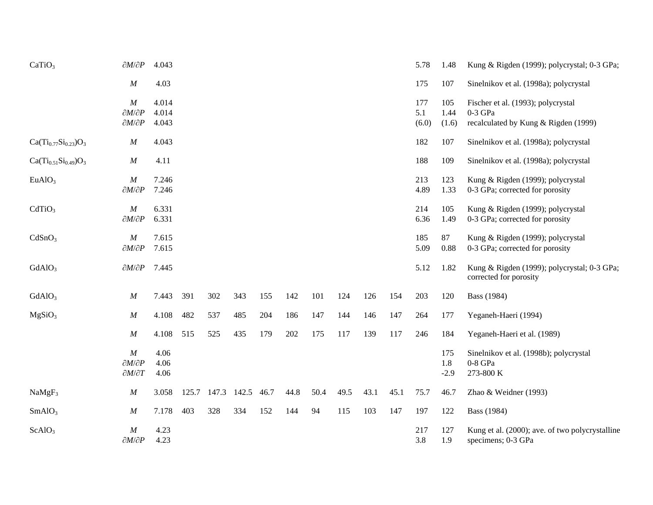| CaTiO <sub>3</sub>          | $\partial M/\partial P$      | 4.043        |       |       |       |      |      |      |      |      |      | 5.78       | 1.48       | Kung & Rigden (1999); polycrystal; 0-3 GPa;                           |
|-----------------------------|------------------------------|--------------|-------|-------|-------|------|------|------|------|------|------|------------|------------|-----------------------------------------------------------------------|
|                             | M                            | 4.03         |       |       |       |      |      |      |      |      |      | 175        | 107        | Sinelnikov et al. (1998a); polycrystal                                |
|                             | $\boldsymbol{M}$             | 4.014        |       |       |       |      |      |      |      |      |      | 177        | 105        | Fischer et al. (1993); polycrystal                                    |
|                             | $\partial M/\partial P$      | 4.014        |       |       |       |      |      |      |      |      |      | 5.1        | 1.44       | $0-3$ GPa                                                             |
|                             | $\partial M/\partial P$      | 4.043        |       |       |       |      |      |      |      |      |      | (6.0)      | (1.6)      | recalculated by Kung & Rigden (1999)                                  |
| $Ca(Ti_{0.77}Si_{0.23})O_3$ | $\boldsymbol{M}$             | 4.043        |       |       |       |      |      |      |      |      |      | 182        | 107        | Sinelnikov et al. (1998a); polycrystal                                |
| $Ca(Ti_{0.51}Si_{0.49})O_3$ | $\cal M$                     | 4.11         |       |       |       |      |      |      |      |      |      | 188        | 109        | Sinelnikov et al. (1998a); polycrystal                                |
| EuAlO <sub>3</sub>          | M                            | 7.246        |       |       |       |      |      |      |      |      |      | 213        | 123        | Kung & Rigden (1999); polycrystal                                     |
|                             | $\partial M/\partial P$      | 7.246        |       |       |       |      |      |      |      |      |      | 4.89       | 1.33       | 0-3 GPa; corrected for porosity                                       |
| CdTiO <sub>3</sub>          | M                            | 6.331        |       |       |       |      |      |      |      |      |      | 214        | 105        | Kung & Rigden (1999); polycrystal                                     |
|                             | $\partial M/\partial P$      | 6.331        |       |       |       |      |      |      |      |      |      | 6.36       | 1.49       | 0-3 GPa; corrected for porosity                                       |
| CdSnO <sub>3</sub>          | $\boldsymbol{M}$             | 7.615        |       |       |       |      |      |      |      |      |      | 185        | 87         | Kung & Rigden (1999); polycrystal                                     |
|                             | $\partial M/\partial P$      | 7.615        |       |       |       |      |      |      |      |      |      | 5.09       | 0.88       | 0-3 GPa; corrected for porosity                                       |
| GdAlO <sub>3</sub>          | $\partial M/\partial P$      | 7.445        |       |       |       |      |      |      |      |      |      | 5.12       | 1.82       | Kung & Rigden (1999); polycrystal; 0-3 GPa;<br>corrected for porosity |
| GdAlO <sub>3</sub>          | M                            | 7.443        | 391   | 302   | 343   | 155  | 142  | 101  | 124  | 126  | 154  | 203        | 120        | Bass (1984)                                                           |
| MgSiO <sub>3</sub>          | $\boldsymbol{M}$             | 4.108        | 482   | 537   | 485   | 204  | 186  | 147  | 144  | 146  | 147  | 264        | 177        | Yeganeh-Haeri (1994)                                                  |
|                             | M                            | 4.108        | 515   | 525   | 435   | 179  | 202  | 175  | 117  | 139  | 117  | 246        | 184        | Yeganeh-Haeri et al. (1989)                                           |
|                             | $\cal M$                     | 4.06         |       |       |       |      |      |      |      |      |      |            | 175        | Sinelnikov et al. (1998b); polycrystal                                |
|                             | $\partial M/\partial P$      | 4.06         |       |       |       |      |      |      |      |      |      |            | 1.8        | $0-8$ GPa                                                             |
|                             | $\partial M/\partial T$      | 4.06         |       |       |       |      |      |      |      |      |      |            | $-2.9$     | 273-800 K                                                             |
| NaMgF <sub>3</sub>          | $\boldsymbol{M}$             | 3.058        | 125.7 | 147.3 | 142.5 | 46.7 | 44.8 | 50.4 | 49.5 | 43.1 | 45.1 | 75.7       | 46.7       | Zhao & Weidner (1993)                                                 |
| SmAlO <sub>3</sub>          | M                            | 7.178        | 403   | 328   | 334   | 152  | 144  | 94   | 115  | 103  | 147  | 197        | 122        | <b>Bass</b> (1984)                                                    |
| ScAlO <sub>3</sub>          | M<br>$\partial M/\partial P$ | 4.23<br>4.23 |       |       |       |      |      |      |      |      |      | 217<br>3.8 | 127<br>1.9 | Kung et al. (2000); ave. of two polycrystalline<br>specimens; 0-3 GPa |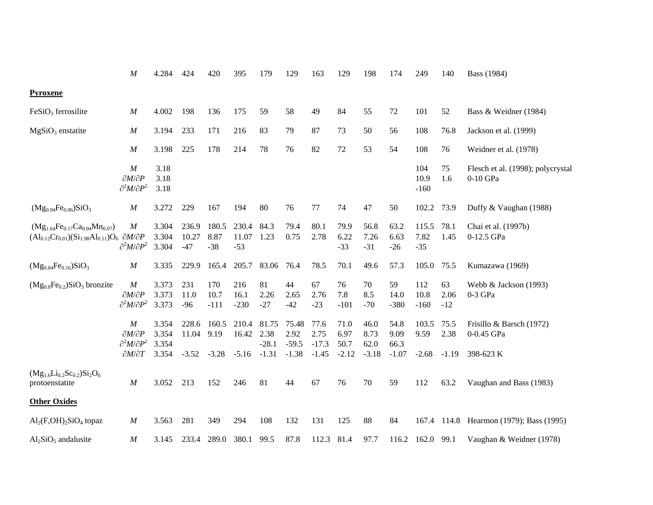|                                                                                                                   | $\cal M$                                                                                              | 4.284                            | 424                       | 420                      | 395                       | 179                                 | 129                                 | 163                                | 129                             | 198                             | 174                             | 249                      | 140                 | Bass (1984)                                         |
|-------------------------------------------------------------------------------------------------------------------|-------------------------------------------------------------------------------------------------------|----------------------------------|---------------------------|--------------------------|---------------------------|-------------------------------------|-------------------------------------|------------------------------------|---------------------------------|---------------------------------|---------------------------------|--------------------------|---------------------|-----------------------------------------------------|
| <b>Pyroxene</b>                                                                                                   |                                                                                                       |                                  |                           |                          |                           |                                     |                                     |                                    |                                 |                                 |                                 |                          |                     |                                                     |
| $FeSiO3$ ferrosilite                                                                                              | $\cal M$                                                                                              | 4.002                            | 198                       | 136                      | 175                       | 59                                  | 58                                  | 49                                 | 84                              | 55                              | 72                              | 101                      | 52                  | Bass & Weidner (1984)                               |
| $MgSiO3$ enstatite                                                                                                | $\boldsymbol{M}$                                                                                      | 3.194                            | 233                       | 171                      | 216                       | 83                                  | 79                                  | 87                                 | 73                              | 50                              | 56                              | 108                      | 76.8                | Jackson et al. (1999)                               |
|                                                                                                                   | $\boldsymbol{M}$                                                                                      | 3.198                            | 225                       | 178                      | 214                       | 78                                  | 76                                  | 82                                 | 72                              | 53                              | 54                              | 108                      | 76                  | Weidner et al. (1978)                               |
|                                                                                                                   | $\cal M$<br>$\partial M/\partial P$<br>$\partial^2 M/\partial P^2$                                    | 3.18<br>3.18<br>3.18             |                           |                          |                           |                                     |                                     |                                    |                                 |                                 |                                 | 104<br>10.9<br>$-160$    | 75<br>1.6           | Flesch et al. (1998); polycrystal<br>0-10 GPa       |
| $(Mg_{0.94}Fe_{0.06})SiO_3$                                                                                       | $\boldsymbol{M}$                                                                                      | 3.272                            | 229                       | 167                      | 194                       | 80                                  | 76                                  | 77                                 | 74                              | 47                              | 50                              | 102.2                    | 73.9                | Duffy & Vaughan (1988)                              |
| $(Mg_{1.64}Fe_{0.17}Ca_{0.04}Mn_{0.07})$<br>$(Al_{0.12}Cr_{0.01})(Si_{1.98}Al_{0.11})O_6$ $\partial M/\partial P$ | $\cal M$<br>$\partial^2 M/\partial P^2$                                                               | 3.304<br>3.304<br>3.304          | 236.9<br>10.27<br>$-47$   | 180.5<br>8.87<br>$-38$   | 230.4<br>11.07<br>$-53$   | 84.3<br>1.23                        | 79.4<br>0.75                        | 80.1<br>2.78                       | 79.9<br>6.22<br>$-33$           | 56.8<br>7.26<br>$-31$           | 63.2<br>6.63<br>$-26$           | 115.5<br>7.82<br>$-35$   | 78.1<br>1.45        | Chai et al. (1997b)<br>0-12.5 GPa                   |
| $(Mg_{0.84}Fe_{0.16})SiO_3$                                                                                       | $\boldsymbol{M}$                                                                                      | 3.335                            | 229.9                     | 165.4                    | 205.7                     | 83.06                               | 76.4                                | 78.5                               | 70.1                            | 49.6                            | 57.3                            | 105.0                    | 75.5                | Kumazawa (1969)                                     |
| $(Mg_{0.8}Fe_{0.2})SiO_3$ bronzite                                                                                | $\boldsymbol{M}$<br>$\partial M/\partial P$<br>$\partial^2 M/\partial P^2$                            | 3.373<br>3.373<br>3.373          | 231<br>11.0<br>$-96$      | 170<br>10.7<br>$-111$    | 216<br>16.1<br>$-230$     | 81<br>2.26<br>$-27$                 | 44<br>2.65<br>$-42$                 | 67<br>2.76<br>$-23$                | 76<br>7.8<br>$-101$             | 70<br>8.5<br>$-70$              | 59<br>14.0<br>$-380$            | 112<br>10.8<br>$-160$    | 63<br>2.06<br>$-12$ | Webb & Jackson (1993)<br>$0-3$ GPa                  |
|                                                                                                                   | $\boldsymbol{M}$<br>$\partial M/\partial P$<br>$\partial^2 M/\partial P^2$<br>$\partial M/\partial T$ | 3.354<br>3.354<br>3.354<br>3.354 | 228.6<br>11.04<br>$-3.52$ | 160.5<br>9.19<br>$-3.28$ | 210.4<br>16.42<br>$-5.16$ | 81.75<br>2.38<br>$-28.1$<br>$-1.31$ | 75.48<br>2.92<br>$-59.5$<br>$-1.38$ | 77.6<br>2.75<br>$-17.3$<br>$-1.45$ | 71.0<br>6.97<br>50.7<br>$-2.12$ | 46.0<br>8.73<br>62.0<br>$-3.18$ | 54.8<br>9.09<br>66.3<br>$-1.07$ | 103.5<br>9.59<br>$-2.68$ | 75.5<br>2.38        | Frisillo & Barsch (1972)<br>0-0.45 GPa<br>398-623 K |
| $(Mg_{1.6}Li_{0.2}Sc_{0.2})Si_2O_6$                                                                               |                                                                                                       |                                  |                           |                          |                           |                                     |                                     |                                    |                                 |                                 |                                 |                          | $-1.19$             |                                                     |
| protoenstatite                                                                                                    | M                                                                                                     | 3.052                            | 213                       | 152                      | 246                       | 81                                  | 44                                  | 67                                 | 76                              | 70                              | 59                              | 112                      | 63.2                | Vaughan and Bass (1983)                             |
| <b>Other Oxides</b>                                                                                               |                                                                                                       |                                  |                           |                          |                           |                                     |                                     |                                    |                                 |                                 |                                 |                          |                     |                                                     |
| $\text{Al}_2(\text{F}, \text{OH})_2\text{SiO}_4$ topaz                                                            | $\boldsymbol{M}$                                                                                      | 3.563                            | 281                       | 349                      | 294                       | 108                                 | 132                                 | 131                                | 125                             | 88                              | 84                              | 167.4                    |                     | 114.8 Hearmon (1979); Bass (1995)                   |
| $Al2SiO5$ and alusite                                                                                             | $\cal M$                                                                                              | 3.145                            | 233.4                     | 289.0                    | 380.1                     | 99.5                                | 87.8                                | 112.3                              | 81.4                            | 97.7                            |                                 | 116.2 162.0 99.1         |                     | Vaughan & Weidner (1978)                            |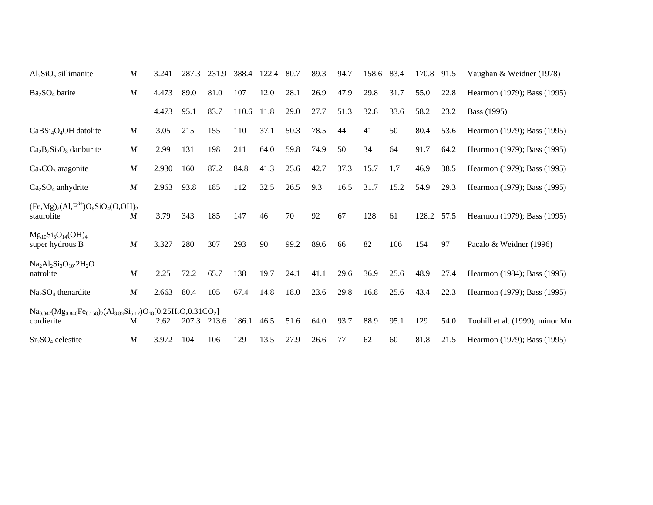| $Al_2SiO_5$ sillimanite                                                                         | $\boldsymbol{M}$ | 3.241 | 287.3 | 231.9 | 388.4 | 122.4 | 80.7 | 89.3 | 94.7 | 158.6 83.4 |      | 170.8 | 91.5 | Vaughan & Weidner (1978)        |
|-------------------------------------------------------------------------------------------------|------------------|-------|-------|-------|-------|-------|------|------|------|------------|------|-------|------|---------------------------------|
| $Ba2SO4$ barite                                                                                 | $\boldsymbol{M}$ | 4.473 | 89.0  | 81.0  | 107   | 12.0  | 28.1 | 26.9 | 47.9 | 29.8       | 31.7 | 55.0  | 22.8 | Hearmon (1979); Bass (1995)     |
|                                                                                                 |                  | 4.473 | 95.1  | 83.7  | 110.6 | 11.8  | 29.0 | 27.7 | 51.3 | 32.8       | 33.6 | 58.2  | 23.2 | Bass (1995)                     |
| CaBSi <sub>4</sub> O <sub>4</sub> OH datolite                                                   | $\boldsymbol{M}$ | 3.05  | 215   | 155   | 110   | 37.1  | 50.3 | 78.5 | 44   | 41         | 50   | 80.4  | 53.6 | Hearmon (1979); Bass (1995)     |
| $Ca_2B_2Si_2O_8$ danburite                                                                      | $\boldsymbol{M}$ | 2.99  | 131   | 198   | 211   | 64.0  | 59.8 | 74.9 | 50   | 34         | 64   | 91.7  | 64.2 | Hearmon (1979); Bass (1995)     |
| $Ca2CO3$ aragonite                                                                              | $\boldsymbol{M}$ | 2.930 | 160   | 87.2  | 84.8  | 41.3  | 25.6 | 42.7 | 37.3 | 15.7       | 1.7  | 46.9  | 38.5 | Hearmon (1979); Bass (1995)     |
| $Ca2SO4$ anhydrite                                                                              | $\boldsymbol{M}$ | 2.963 | 93.8  | 185   | 112   | 32.5  | 26.5 | 9.3  | 16.5 | 31.7       | 15.2 | 54.9  | 29.3 | Hearmon (1979); Bass (1995)     |
| $(Fe, Mg)_2(Al, F^{3+})O_6SiO_4(O, OH)_2$<br>staurolite                                         | $\boldsymbol{M}$ | 3.79  | 343   | 185   | 147   | 46    | 70   | 92   | 67   | 128        | 61   | 128.2 | 57.5 | Hearmon (1979); Bass (1995)     |
| $Mg_{10}Si_3O_{14}(OH)_4$<br>super hydrous B                                                    | $\boldsymbol{M}$ | 3.327 | 280   | 307   | 293   | 90    | 99.2 | 89.6 | 66   | 82         | 106  | 154   | 97   | Pacalo & Weidner (1996)         |
| $Na2Al2Si3O10·2H2O$<br>natrolite                                                                | $\boldsymbol{M}$ | 2.25  | 72.2  | 65.7  | 138   | 19.7  | 24.1 | 41.1 | 29.6 | 36.9       | 25.6 | 48.9  | 27.4 | Hearmon (1984); Bass (1995)     |
| $Na2SO4$ thenardite                                                                             | $\boldsymbol{M}$ | 2.663 | 80.4  | 105   | 67.4  | 14.8  | 18.0 | 23.6 | 29.8 | 16.8       | 25.6 | 43.4  | 22.3 | Hearmon (1979); Bass (1995)     |
| $Na_{0.047}(Mg_{0.840}Fe_{0.158})_2(Al_{3.83}Si_{5.17})O_{18}[0.25H_2O,0.31CO_2]$<br>cordierite | M                | 2.62  | 207.3 | 213.6 | 186.1 | 46.5  | 51.6 | 64.0 | 93.7 | 88.9       | 95.1 | 129   | 54.0 | Toohill et al. (1999); minor Mn |
| $Sr2SO4$ celestite                                                                              | $\boldsymbol{M}$ | 3.972 | 104   | 106   | 129   | 13.5  | 27.9 | 26.6 | 77   | 62         | 60   | 81.8  | 21.5 | Hearmon (1979); Bass (1995)     |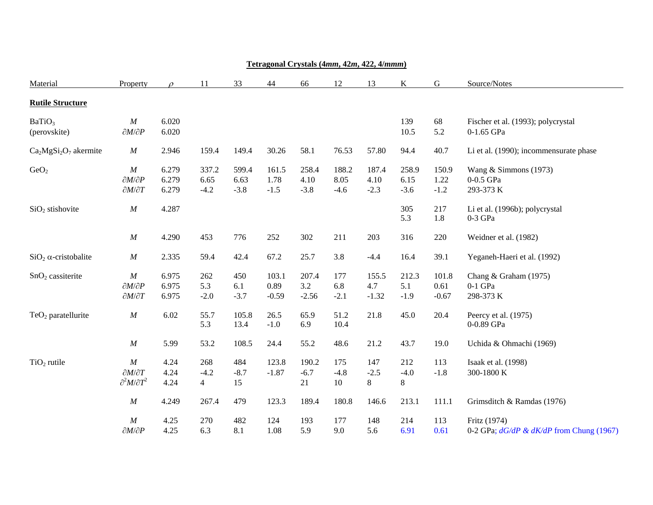| Material                           | <b>Property</b>                                                    | $\mathcal{O}$           | 11                              | 33                      | 44                       | 66                      | 12                      | 13                      | K                       | $\mathsf G$              | Source/Notes                                                |
|------------------------------------|--------------------------------------------------------------------|-------------------------|---------------------------------|-------------------------|--------------------------|-------------------------|-------------------------|-------------------------|-------------------------|--------------------------|-------------------------------------------------------------|
| <b>Rutile Structure</b>            |                                                                    |                         |                                 |                         |                          |                         |                         |                         |                         |                          |                                                             |
| BaTiO <sub>3</sub><br>(perovskite) | M<br>$\partial M/\partial P$                                       | 6.020<br>6.020          |                                 |                         |                          |                         |                         |                         | 139<br>10.5             | 68<br>5.2                | Fischer et al. (1993); polycrystal<br>0-1.65 GPa            |
| $Ca2MgSi2O7$ akermite              | $\cal M$                                                           | 2.946                   | 159.4                           | 149.4                   | 30.26                    | 58.1                    | 76.53                   | 57.80                   | 94.4                    | 40.7                     | Li et al. (1990); incommensurate phase                      |
| GeO <sub>2</sub>                   | $\cal M$<br>$\partial M/\partial P$<br>$\partial M/\partial T$     | 6.279<br>6.279<br>6.279 | 337.2<br>6.65<br>$-4.2$         | 599.4<br>6.63<br>$-3.8$ | 161.5<br>1.78<br>$-1.5$  | 258.4<br>4.10<br>$-3.8$ | 188.2<br>8.05<br>$-4.6$ | 187.4<br>4.10<br>$-2.3$ | 258.9<br>6.15<br>$-3.6$ | 150.9<br>1.22<br>$-1.2$  | Wang $&$ Simmons (1973)<br>0-0.5 GPa<br>293-373 K           |
| $SiO2$ stishovite                  | $\cal M$                                                           | 4.287                   |                                 |                         |                          |                         |                         |                         | 305<br>5.3              | 217<br>1.8               | Li et al. (1996b); polycrystal<br>$0-3$ GPa                 |
|                                    | $\cal M$                                                           | 4.290                   | 453                             | 776                     | 252                      | 302                     | 211                     | 203                     | 316                     | 220                      | Weidner et al. (1982)                                       |
| $SiO2$ $\alpha$ -cristobalite      | $\cal M$                                                           | 2.335                   | 59.4                            | 42.4                    | 67.2                     | 25.7                    | 3.8                     | $-4.4$                  | 16.4                    | 39.1                     | Yeganeh-Haeri et al. (1992)                                 |
| $SnO2$ cassiterite                 | $\cal M$<br>$\partial M/\partial P$<br>$\partial M/\partial T$     | 6.975<br>6.975<br>6.975 | 262<br>5.3<br>$-2.0$            | 450<br>6.1<br>$-3.7$    | 103.1<br>0.89<br>$-0.59$ | 207.4<br>3.2<br>$-2.56$ | 177<br>6.8<br>$-2.1$    | 155.5<br>4.7<br>$-1.32$ | 212.3<br>5.1<br>$-1.9$  | 101.8<br>0.61<br>$-0.67$ | Chang & Graham (1975)<br>$0-1$ GPa<br>298-373 K             |
| $TeO2$ paratellurite               | $\cal M$                                                           | 6.02                    | 55.7<br>5.3                     | 105.8<br>13.4           | 26.5<br>$-1.0$           | 65.9<br>6.9             | 51.2<br>10.4            | 21.8                    | 45.0                    | 20.4                     | Peercy et al. (1975)<br>0-0.89 GPa                          |
|                                    | $\cal M$                                                           | 5.99                    | 53.2                            | 108.5                   | 24.4                     | 55.2                    | 48.6                    | 21.2                    | 43.7                    | 19.0                     | Uchida & Ohmachi (1969)                                     |
| $TiO2$ rutile                      | $\cal M$<br>$\partial M/\partial T$<br>$\partial^2 M/\partial T^2$ | 4.24<br>4.24<br>4.24    | 268<br>$-4.2$<br>$\overline{4}$ | 484<br>$-8.7$<br>15     | 123.8<br>$-1.87$         | 190.2<br>$-6.7$<br>21   | 175<br>$-4.8$<br>$10\,$ | 147<br>$-2.5$<br>8      | 212<br>$-4.0$<br>8      | 113<br>$-1.8$            | Isaak et al. (1998)<br>300-1800 K                           |
|                                    | $\cal M$                                                           | 4.249                   | 267.4                           | 479                     | 123.3                    | 189.4                   | 180.8                   | 146.6                   | 213.1                   | 111.1                    | Grimsditch & Ramdas (1976)                                  |
|                                    | $\cal M$<br>$\partial M/\partial P$                                | 4.25<br>4.25            | 270<br>6.3                      | 482<br>8.1              | 124<br>1.08              | 193<br>5.9              | 177<br>9.0              | 148<br>5.6              | 214<br>6.91             | 113<br>0.61              | Fritz (1974)<br>0-2 GPa; $dG/dP \& dK/dP$ from Chung (1967) |

### **Tetragonal Crystals (4***mm***, 42***<sup>m</sup>***, 422, 4/***mmm***)**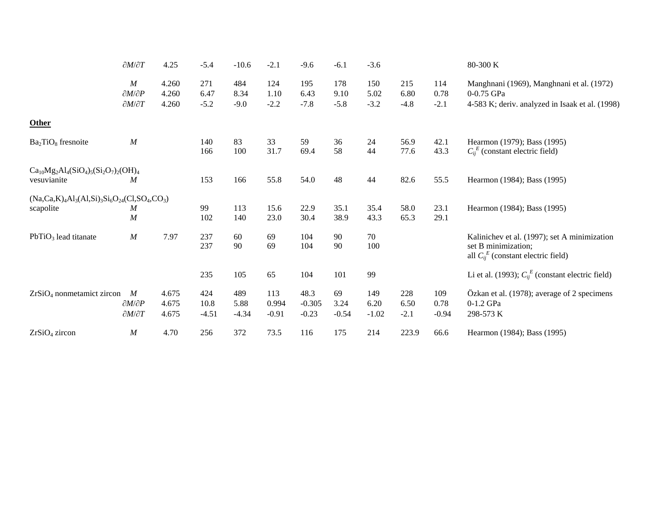|                                                                | $\partial M/\partial T$      | 4.25           | $-5.4$      | $-10.6$     | $-2.1$       | $-9.6$           | $-6.1$       | $-3.6$       |              |              | 80-300 K                                                                                                        |
|----------------------------------------------------------------|------------------------------|----------------|-------------|-------------|--------------|------------------|--------------|--------------|--------------|--------------|-----------------------------------------------------------------------------------------------------------------|
|                                                                | M<br>$\partial M/\partial P$ | 4.260<br>4.260 | 271<br>6.47 | 484<br>8.34 | 124<br>1.10  | 195<br>6.43      | 178<br>9.10  | 150<br>5.02  | 215<br>6.80  | 114<br>0.78  | Manghnani (1969), Manghnani et al. (1972)<br>0-0.75 GPa                                                         |
|                                                                | $\partial M/\partial T$      | 4.260          | $-5.2$      | $-9.0$      | $-2.2$       | $-7.8$           | $-5.8$       | $-3.2$       | $-4.8$       | $-2.1$       | 4-583 K; deriv. analyzed in Isaak et al. (1998)                                                                 |
| <b>Other</b>                                                   |                              |                |             |             |              |                  |              |              |              |              |                                                                                                                 |
| $Ba2TiO8$ fresnoite                                            | M                            |                | 140<br>166  | 83<br>100   | 33<br>31.7   | 59<br>69.4       | 36<br>58     | 24<br>44     | 56.9<br>77.6 | 42.1<br>43.3 | Hearmon (1979); Bass (1995)<br>$C_{ii}^E$ (constant electric field)                                             |
| $Ca_{10}Mg_2Al_4(SiO_4)_{5}(Si_2O_7)_{2}(OH)_4$<br>vesuvianite | M                            |                | 153         | 166         | 55.8         | 54.0             | 48           | 44           | 82.6         | 55.5         | Hearmon (1984); Bass (1995)                                                                                     |
| $(Na, Ca, K)_4 Al_3(Al, Si)_3Si_6O_{24}(Cl, SO_4, CO_3)$       |                              |                |             |             |              |                  |              |              |              |              |                                                                                                                 |
| scapolite                                                      | M<br>$\boldsymbol{M}$        |                | 99<br>102   | 113<br>140  | 15.6<br>23.0 | 22.9<br>30.4     | 35.1<br>38.9 | 35.4<br>43.3 | 58.0<br>65.3 | 23.1<br>29.1 | Hearmon (1984); Bass (1995)                                                                                     |
| $PbTiO3$ lead titanate                                         | M                            | 7.97           | 237<br>237  | 60<br>90    | 69<br>69     | 104<br>104       | 90<br>90     | 70<br>100    |              |              | Kalinichev et al. (1997); set A minimization<br>set B minimization;<br>all $C_{ii}^E$ (constant electric field) |
|                                                                |                              |                | 235         | 105         | 65           | 104              | 101          | 99           |              |              | Li et al. (1993); $C_{ij}^E$ (constant electric field)                                                          |
| $ZrSiO4$ nonmetamict zircon                                    | M<br>$\partial M/\partial P$ | 4.675<br>4.675 | 424<br>10.8 | 489<br>5.88 | 113<br>0.994 | 48.3<br>$-0.305$ | 69<br>3.24   | 149<br>6.20  | 228<br>6.50  | 109<br>0.78  | Özkan et al. (1978); average of 2 specimens<br>0-1.2 GPa                                                        |
|                                                                | $\partial M/\partial T$      | 4.675          | $-4.51$     | $-4.34$     | $-0.91$      | $-0.23$          | $-0.54$      | $-1.02$      | $-2.1$       | $-0.94$      | 298-573 K                                                                                                       |
| ZrSiO <sub>4</sub> zircon                                      | M                            | 4.70           | 256         | 372         | 73.5         | 116              | 175          | 214          | 223.9        | 66.6         | Hearmon (1984); Bass (1995)                                                                                     |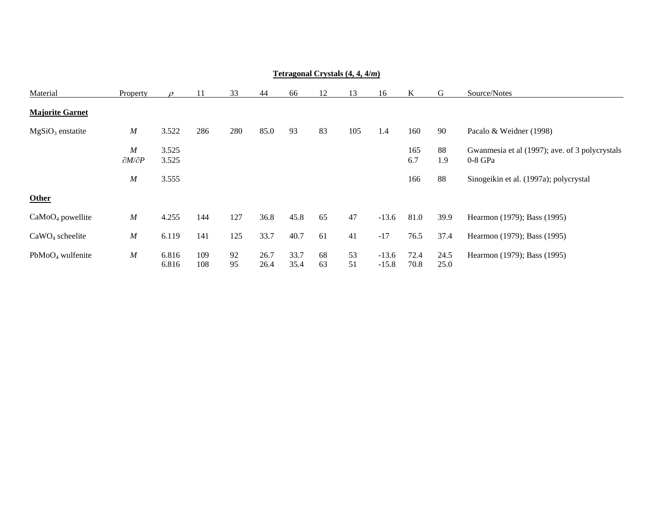|                        | <b>Tetragonal Crystals <math>(4, 4, 4/m)</math></b> |                |            |          |              |              |          |          |                    |              |              |                                                           |  |  |
|------------------------|-----------------------------------------------------|----------------|------------|----------|--------------|--------------|----------|----------|--------------------|--------------|--------------|-----------------------------------------------------------|--|--|
| Material               | Property                                            |                | 11         | 33       | 44           | 66           | 12       | 13       | 16                 | K            | G            | Source/Notes                                              |  |  |
| <b>Majorite Garnet</b> |                                                     |                |            |          |              |              |          |          |                    |              |              |                                                           |  |  |
| $MgSiO3$ enstatite     | $\boldsymbol{M}$                                    | 3.522          | 286        | 280      | 85.0         | 93           | 83       | 105      | 1.4                | 160          | 90           | Pacalo & Weidner (1998)                                   |  |  |
|                        | $\boldsymbol{M}$<br>$\partial M/\partial P$         | 3.525<br>3.525 |            |          |              |              |          |          |                    | 165<br>6.7   | 88<br>1.9    | Gwannesia et al (1997); ave. of 3 polycrystals<br>0-8 GPa |  |  |
|                        | $\boldsymbol{M}$                                    | 3.555          |            |          |              |              |          |          |                    | 166          | 88           | Sinogeikin et al. (1997a); polycrystal                    |  |  |
| Other                  |                                                     |                |            |          |              |              |          |          |                    |              |              |                                                           |  |  |
| $CaMoO4$ powellite     | $\boldsymbol{M}$                                    | 4.255          | 144        | 127      | 36.8         | 45.8         | 65       | 47       | $-13.6$            | 81.0         | 39.9         | Hearmon (1979); Bass (1995)                               |  |  |
| $CaWO4$ scheelite      | $\boldsymbol{M}$                                    | 6.119          | 141        | 125      | 33.7         | 40.7         | 61       | 41       | $-17$              | 76.5         | 37.4         | Hearmon (1979); Bass (1995)                               |  |  |
| $PbMoO4$ wulfenite     | M                                                   | 6.816<br>6.816 | 109<br>108 | 92<br>95 | 26.7<br>26.4 | 33.7<br>35.4 | 68<br>63 | 53<br>51 | $-13.6$<br>$-15.8$ | 72.4<br>70.8 | 24.5<br>25.0 | Hearmon (1979); Bass (1995)                               |  |  |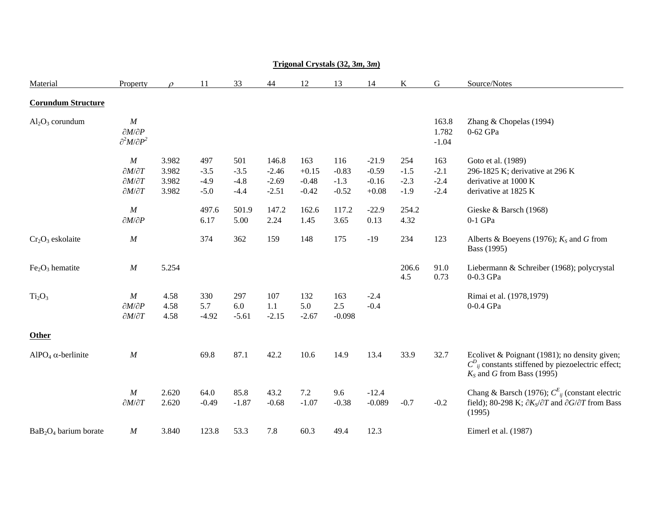| Material                              | Property                                                                                                                         | $\Omega$                         | 11                                                 | 33                                                 | 44                                                      | 12                                                    | 13                                                   | 14                                                          | K                                                  | G                                 | Source/Notes                                                                                                                                          |
|---------------------------------------|----------------------------------------------------------------------------------------------------------------------------------|----------------------------------|----------------------------------------------------|----------------------------------------------------|---------------------------------------------------------|-------------------------------------------------------|------------------------------------------------------|-------------------------------------------------------------|----------------------------------------------------|-----------------------------------|-------------------------------------------------------------------------------------------------------------------------------------------------------|
| <b>Corundum Structure</b>             |                                                                                                                                  |                                  |                                                    |                                                    |                                                         |                                                       |                                                      |                                                             |                                                    |                                   |                                                                                                                                                       |
| $Al_2O_3$ corundum                    | $\cal M$<br>$\partial M/\partial P$<br>$\partial^2 M/\partial P^2$                                                               |                                  |                                                    |                                                    |                                                         |                                                       |                                                      |                                                             |                                                    | 163.8<br>1.782<br>$-1.04$         | Zhang & Chopelas (1994)<br>0-62 GPa                                                                                                                   |
|                                       | $\cal M$<br>$\partial M/\partial T$<br>$\partial M/\partial T$<br>$\partial M/\partial T$<br>$\cal M$<br>$\partial M/\partial P$ | 3.982<br>3.982<br>3.982<br>3.982 | 497<br>$-3.5$<br>$-4.9$<br>$-5.0$<br>497.6<br>6.17 | 501<br>$-3.5$<br>$-4.8$<br>$-4.4$<br>501.9<br>5.00 | 146.8<br>$-2.46$<br>$-2.69$<br>$-2.51$<br>147.2<br>2.24 | 163<br>$+0.15$<br>$-0.48$<br>$-0.42$<br>162.6<br>1.45 | 116<br>$-0.83$<br>$-1.3$<br>$-0.52$<br>117.2<br>3.65 | $-21.9$<br>$-0.59$<br>$-0.16$<br>$+0.08$<br>$-22.9$<br>0.13 | 254<br>$-1.5$<br>$-2.3$<br>$-1.9$<br>254.2<br>4.32 | 163<br>$-2.1$<br>$-2.4$<br>$-2.4$ | Goto et al. (1989)<br>296-1825 K; derivative at 296 K<br>derivative at 1000 K<br>derivative at 1825 K<br>Gieske & Barsch (1968)<br>$0-1$ GPa          |
| $Cr_2O_3$ eskolaite                   | $\cal M$                                                                                                                         |                                  | 374                                                | 362                                                | 159                                                     | 148                                                   | 175                                                  | $-19$                                                       | 234                                                | 123                               | Alberts & Boeyens (1976); $K_s$ and G from<br>Bass (1995)                                                                                             |
| $Fe2O3$ hematite                      | $\cal M$                                                                                                                         | 5.254                            |                                                    |                                                    |                                                         |                                                       |                                                      |                                                             | 206.6<br>4.5                                       | 91.0<br>0.73                      | Liebermann & Schreiber (1968); polycrystal<br>0-0.3 GPa                                                                                               |
| Ti <sub>2</sub> O <sub>3</sub>        | $\cal M$<br>$\partial M/\partial P$<br>$\partial M/\partial T$                                                                   | 4.58<br>4.58<br>4.58             | 330<br>5.7<br>$-4.92$                              | 297<br>6.0<br>$-5.61$                              | 107<br>1.1<br>$-2.15$                                   | 132<br>5.0<br>$-2.67$                                 | 163<br>2.5<br>$-0.098$                               | $-2.4$<br>$-0.4$                                            |                                                    |                                   | Rimai et al. (1978,1979)<br>0-0.4 GPa                                                                                                                 |
| <b>Other</b>                          |                                                                                                                                  |                                  |                                                    |                                                    |                                                         |                                                       |                                                      |                                                             |                                                    |                                   |                                                                                                                                                       |
| AlPO <sub>4</sub> $\alpha$ -berlinite | $\cal M$                                                                                                                         |                                  | 69.8                                               | 87.1                                               | 42.2                                                    | 10.6                                                  | 14.9                                                 | 13.4                                                        | 33.9                                               | 32.7                              | Ecolivet & Poignant (1981); no density given;<br>$C_{ii}^{D}$ constants stiffened by piezoelectric effect;<br>$K_s$ and G from Bass (1995)            |
|                                       | $\cal M$<br>$\partial M/\partial T$                                                                                              | 2.620<br>2.620                   | 64.0<br>$-0.49$                                    | 85.8<br>$-1.87$                                    | 43.2<br>$-0.68$                                         | 7.2<br>$-1.07$                                        | 9.6<br>$-0.38$                                       | $-12.4$<br>$-0.089$                                         | $-0.7$                                             | $-0.2$                            | Chang & Barsch (1976); $C_{ij}^{E}$ (constant electric<br>field); 80-298 K; $\partial K_S/\partial T$ and $\partial G/\partial T$ from Bass<br>(1995) |
| $BaB2O4$ barium borate                | $\cal M$                                                                                                                         | 3.840                            | 123.8                                              | 53.3                                               | 7.8                                                     | 60.3                                                  | 49.4                                                 | 12.3                                                        |                                                    |                                   | Eimerl et al. (1987)                                                                                                                                  |

# **Trigonal Crystals (32, 3***<sup>m</sup>***, 3***m***)**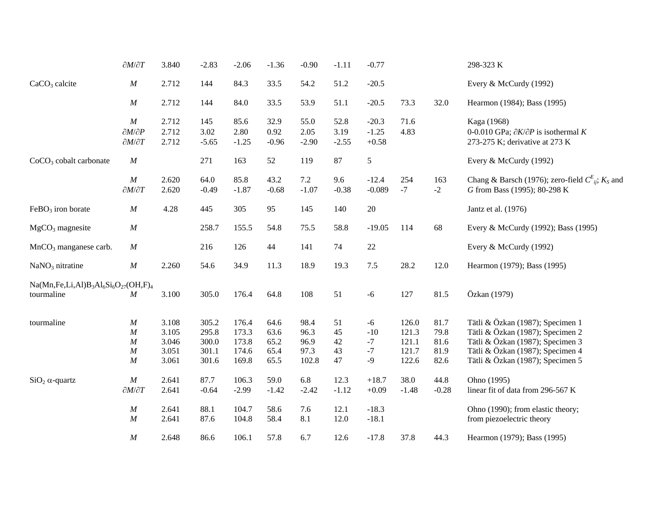|                                         | $\partial M/\partial T$                                           | 3.840                                     | $-2.83$                                   | $-2.06$                                   | $-1.36$                              | $-0.90$                               | $-1.11$                    | $-0.77$                               |                                           |                                      | 298-323 K                                                                                                                                                                        |
|-----------------------------------------|-------------------------------------------------------------------|-------------------------------------------|-------------------------------------------|-------------------------------------------|--------------------------------------|---------------------------------------|----------------------------|---------------------------------------|-------------------------------------------|--------------------------------------|----------------------------------------------------------------------------------------------------------------------------------------------------------------------------------|
| $CaCO3$ calcite                         | $\cal M$                                                          | 2.712                                     | 144                                       | 84.3                                      | 33.5                                 | 54.2                                  | 51.2                       | $-20.5$                               |                                           |                                      | Every & McCurdy (1992)                                                                                                                                                           |
|                                         | $\cal M$                                                          | 2.712                                     | 144                                       | 84.0                                      | 33.5                                 | 53.9                                  | 51.1                       | $-20.5$                               | 73.3                                      | 32.0                                 | Hearmon (1984); Bass (1995)                                                                                                                                                      |
|                                         | $\cal M$<br>$\partial M/\partial P$<br>$\partial M/\partial T$    | 2.712<br>2.712<br>2.712                   | 145<br>3.02<br>$-5.65$                    | 85.6<br>2.80<br>$-1.25$                   | 32.9<br>0.92<br>$-0.96$              | 55.0<br>2.05<br>$-2.90$               | 52.8<br>3.19<br>$-2.55$    | $-20.3$<br>$-1.25$<br>$+0.58$         | 71.6<br>4.83                              |                                      | Kaga (1968)<br>0-0.010 GPa; $\partial K/\partial P$ is isothermal K<br>273-275 K; derivative at 273 K                                                                            |
| $CoCO3$ cobalt carbonate                | M                                                                 |                                           | 271                                       | 163                                       | 52                                   | 119                                   | 87                         | $\sqrt{5}$                            |                                           |                                      | Every & McCurdy (1992)                                                                                                                                                           |
|                                         | $\cal M$<br>$\partial M/\partial T$                               | 2.620<br>2.620                            | 64.0<br>$-0.49$                           | 85.8<br>$-1.87$                           | 43.2<br>$-0.68$                      | 7.2<br>$-1.07$                        | 9.6<br>$-0.38$             | $-12.4$<br>$-0.089$                   | 254<br>$-7$                               | 163<br>$-2$                          | Chang & Barsch (1976); zero-field $C_{ii}^E$ ; $K_S$ and<br>G from Bass (1995); 80-298 K                                                                                         |
| $FeBO3$ iron borate                     | $\cal M$                                                          | 4.28                                      | 445                                       | 305                                       | 95                                   | 145                                   | 140                        | 20                                    |                                           |                                      | Jantz et al. (1976)                                                                                                                                                              |
| $MgCO3$ magnesite                       | $\cal M$                                                          |                                           | 258.7                                     | 155.5                                     | 54.8                                 | 75.5                                  | 58.8                       | $-19.05$                              | 114                                       | 68                                   | Every & McCurdy (1992); Bass (1995)                                                                                                                                              |
| $MnCO3$ manganese carb.                 | $\cal M$                                                          |                                           | 216                                       | 126                                       | 44                                   | 141                                   | 74                         | $22\,$                                |                                           |                                      | Every & McCurdy (1992)                                                                                                                                                           |
| $NaNO3$ nitratine                       | $\cal M$                                                          | 2.260                                     | 54.6                                      | 34.9                                      | 11.3                                 | 18.9                                  | 19.3                       | $7.5$                                 | 28.2                                      | 12.0                                 | Hearmon (1979); Bass (1995)                                                                                                                                                      |
| $Na(Mn, Fe, Li, Al)B3Al6Si6O27(OH, F)4$ |                                                                   |                                           |                                           |                                           |                                      |                                       |                            |                                       |                                           |                                      |                                                                                                                                                                                  |
| tourmaline                              | $\cal M$                                                          | 3.100                                     | 305.0                                     | 176.4                                     | 64.8                                 | 108                                   | 51                         | $-6$                                  | 127                                       | 81.5                                 | Özkan (1979)                                                                                                                                                                     |
| tourmaline                              | $\cal M$<br>M<br>$\boldsymbol{M}$<br>$\boldsymbol{M}$<br>$\cal M$ | 3.108<br>3.105<br>3.046<br>3.051<br>3.061 | 305.2<br>295.8<br>300.0<br>301.1<br>301.6 | 176.4<br>173.3<br>173.8<br>174.6<br>169.8 | 64.6<br>63.6<br>65.2<br>65.4<br>65.5 | 98.4<br>96.3<br>96.9<br>97.3<br>102.8 | 51<br>45<br>42<br>43<br>47 | $-6$<br>$-10$<br>$-7$<br>$-7$<br>$-9$ | 126.0<br>121.3<br>121.1<br>121.7<br>122.6 | 81.7<br>79.8<br>81.6<br>81.9<br>82.6 | Tätli & Özkan (1987); Specimen 1<br>Tätli & Özkan (1987); Specimen 2<br>Tätli & Özkan (1987); Specimen 3<br>Tätli & Özkan (1987); Specimen 4<br>Tätli & Özkan (1987); Specimen 5 |
| $SiO2 \alpha$ -quartz                   | M<br>$\partial M/\partial T$                                      | 2.641<br>2.641                            | 87.7<br>$-0.64$                           | 106.3<br>$-2.99$                          | 59.0<br>$-1.42$                      | 6.8<br>$-2.42$                        | 12.3<br>$-1.12$            | $+18.7$<br>$+0.09$                    | 38.0<br>$-1.48$                           | 44.8<br>$-0.28$                      | Ohno (1995)<br>linear fit of data from 296-567 K                                                                                                                                 |
|                                         | $\cal M$<br>$\cal M$                                              | 2.641<br>2.641                            | 88.1<br>87.6                              | 104.7<br>104.8                            | 58.6<br>58.4                         | 7.6<br>8.1                            | 12.1<br>12.0               | $-18.3$<br>$-18.1$                    |                                           |                                      | Ohno (1990); from elastic theory;<br>from piezoelectric theory                                                                                                                   |
|                                         | $\cal M$                                                          | 2.648                                     | 86.6                                      | 106.1                                     | 57.8                                 | 6.7                                   | 12.6                       | $-17.8$                               | 37.8                                      | 44.3                                 | Hearmon (1979); Bass (1995)                                                                                                                                                      |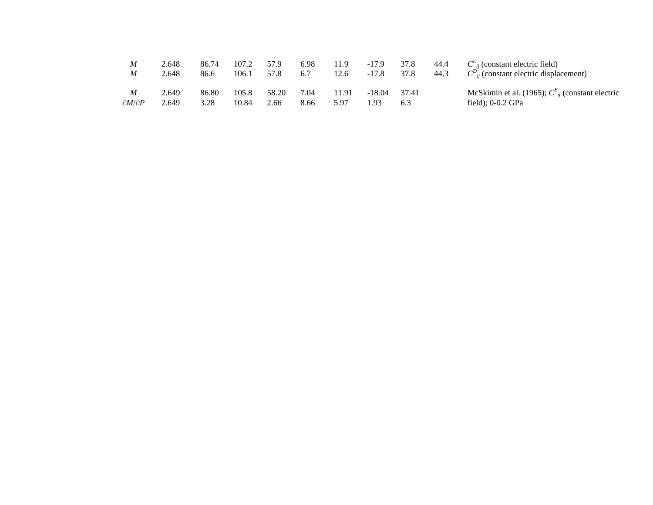| M                            | 2.648          | 86.74         | 107.2          | 57.9          | 6.98         | 11.9          | $-17.9$          | 37.8  | 44.4 | $C_{ii}^{E}$ (constant electric field)                                         |
|------------------------------|----------------|---------------|----------------|---------------|--------------|---------------|------------------|-------|------|--------------------------------------------------------------------------------|
| M                            | 2.648          | 86.6          | 106.1          | 57.8          | 6.7          | 12.6          | $-17.8$          | 37.8  | 44.3 | $C_{ii}^{D}$ (constant electric displacement)                                  |
| M<br>$\partial M/\partial P$ | 2.649<br>2.649 | 86.80<br>3.28 | 105.8<br>10.84 | 58.20<br>2.66 | 7.04<br>8.66 | 11.91<br>5.97 | $-18.04$<br>1.93 | 37.41 |      | McSkimin et al. (1965); $C_{ii}^{E}$ (constant electric<br>field); $0-0.2$ GPa |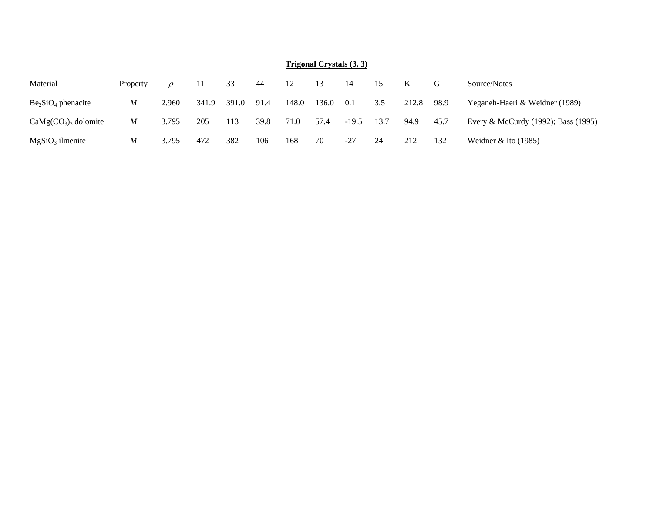|                       |          |       |       |       |      |       | $\mathbf{111}$ |         |      |       |       |                                     |
|-----------------------|----------|-------|-------|-------|------|-------|----------------|---------|------|-------|-------|-------------------------------------|
| Material              | Property |       |       | 33    | -44  |       | -13            | 14      |      |       |       | Source/Notes                        |
| $Be2SiO4$ phenacite   | M        | 2.960 | 341.9 | 391.0 | 91.4 | 148.0 | 136.0          | 0.1     | 3.5  | 212.8 | -98.9 | Yeganeh-Haeri & Weidner (1989)      |
| $CaMg(CO3)3$ dolomite | M        | 3.795 | 205   | 113   | 39.8 | 71.0  | 57.4           | $-19.5$ | 13.7 | 94.9  | 45.7  | Every & McCurdy (1992); Bass (1995) |
| $MgSiO3$ ilmenite     | M        | 3.795 | 472   | 382   | 106  | 168   | 70             | -27     | 24   | 212   | 132   | Weidner $&$ Ito (1985)              |

#### **Trigonal Crystals (3, 3)**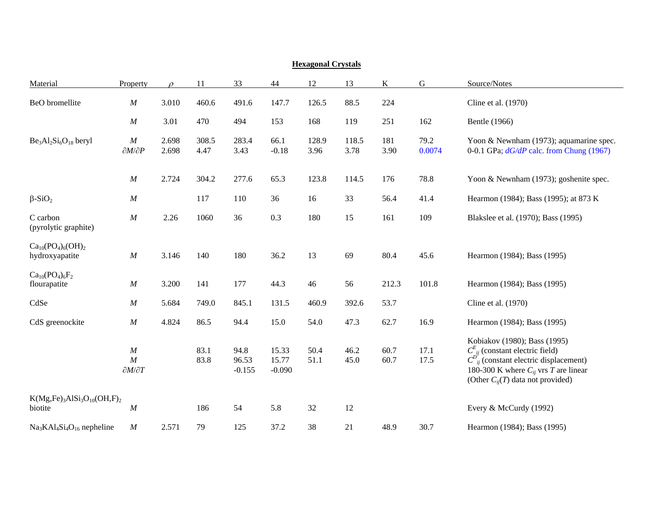| пслагонаг от уэмцэ                           |                                     |                |               |                           |                            |               |               |              |                |                                                                                                                                                                                                                |  |  |
|----------------------------------------------|-------------------------------------|----------------|---------------|---------------------------|----------------------------|---------------|---------------|--------------|----------------|----------------------------------------------------------------------------------------------------------------------------------------------------------------------------------------------------------------|--|--|
| Material                                     | Property                            | $\Omega$       | 11            | 33                        | 44                         | 12            | 13            | K            | $\overline{G}$ | Source/Notes                                                                                                                                                                                                   |  |  |
| BeO bromellite                               | $\cal M$                            | 3.010          | 460.6         | 491.6                     | 147.7                      | 126.5         | 88.5          | 224          |                | Cline et al. (1970)                                                                                                                                                                                            |  |  |
|                                              | $\cal M$                            | 3.01           | 470           | 494                       | 153                        | 168           | 119           | 251          | 162            | Bentle (1966)                                                                                                                                                                                                  |  |  |
| $Be3Al2Si6O18$ beryl                         | $\cal M$<br>$\partial M/\partial P$ | 2.698<br>2.698 | 308.5<br>4.47 | 283.4<br>3.43             | 66.1<br>$-0.18$            | 128.9<br>3.96 | 118.5<br>3.78 | 181<br>3.90  | 79.2<br>0.0074 | Yoon & Newnham (1973); aquamarine spec.<br>0-0.1 GPa; $dG/dP$ calc. from Chung (1967)                                                                                                                          |  |  |
|                                              | M                                   | 2.724          | 304.2         | 277.6                     | 65.3                       | 123.8         | 114.5         | 176          | 78.8           | Yoon & Newnham (1973); goshenite spec.                                                                                                                                                                         |  |  |
| $\beta$ -SiO <sub>2</sub>                    | $\cal M$                            |                | 117           | 110                       | 36                         | 16            | 33            | 56.4         | 41.4           | Hearmon (1984); Bass (1995); at 873 K                                                                                                                                                                          |  |  |
| C carbon<br>(pyrolytic graphite)             | $\cal M$                            | 2.26           | 1060          | 36                        | 0.3                        | 180           | 15            | 161          | 109            | Blakslee et al. (1970); Bass (1995)                                                                                                                                                                            |  |  |
| $Ca_{10}(PO_4)_6(OH)_2$<br>hydroxyapatite    | $\cal M$                            | 3.146          | 140           | 180                       | 36.2                       | 13            | 69            | 80.4         | 45.6           | Hearmon (1984); Bass (1995)                                                                                                                                                                                    |  |  |
| $Ca_{10}(PO_4)_6F_2$<br>flourapatite         | $\boldsymbol{M}$                    | 3.200          | 141           | 177                       | 44.3                       | 46            | 56            | 212.3        | 101.8          | Hearmon (1984); Bass (1995)                                                                                                                                                                                    |  |  |
| CdSe                                         | $\cal M$                            | 5.684          | 749.0         | 845.1                     | 131.5                      | 460.9         | 392.6         | 53.7         |                | Cline et al. (1970)                                                                                                                                                                                            |  |  |
| CdS greenockite                              | $\cal M$                            | 4.824          | 86.5          | 94.4                      | 15.0                       | 54.0          | 47.3          | 62.7         | 16.9           | Hearmon (1984); Bass (1995)                                                                                                                                                                                    |  |  |
|                                              | M<br>M<br>$\partial M/\partial T$   |                | 83.1<br>83.8  | 94.8<br>96.53<br>$-0.155$ | 15.33<br>15.77<br>$-0.090$ | 50.4<br>51.1  | 46.2<br>45.0  | 60.7<br>60.7 | 17.1<br>17.5   | Kobiakov (1980); Bass (1995)<br>$C_{ij}^{E}$ (constant electric field)<br>$C_{ii}^{D'}$ (constant electric displacement)<br>180-300 K where $C_{ii}$ vrs T are linear<br>(Other $C_{ii}(T)$ data not provided) |  |  |
| $K(Mg,Fe)_3AISi_3O_{10}(OH, F)_2$<br>biotite | $\boldsymbol{M}$                    |                | 186           | 54                        | 5.8                        | 32            | 12            |              |                | Every & McCurdy (1992)                                                                                                                                                                                         |  |  |
| $Na3KA4Si4O16$ nepheline                     | $\cal M$                            | 2.571          | 79            | 125                       | 37.2                       | 38            | 21            | 48.9         | 30.7           | Hearmon (1984); Bass (1995)                                                                                                                                                                                    |  |  |

### **Hexagonal Crystals**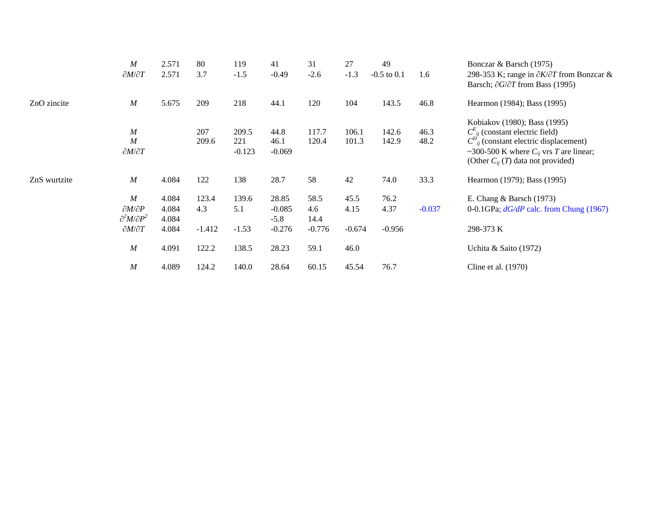|              | $\boldsymbol{M}$<br>$\partial M/\partial T$                                            | 2.571<br>2.571                   | 80<br>3.7                | 119<br>$-1.5$            | 41<br>$-0.49$                           | 31<br>$-2.6$                    | 27<br>$-1.3$             | 49<br>$-0.5$ to $0.1$    | 1.6          | Bonczar & Barsch (1975)<br>298-353 K; range in $\partial K/\partial T$ from Bonzcar &<br>Barsch; $\partial G/\partial T$ from Bass (1995)                                                                        |
|--------------|----------------------------------------------------------------------------------------|----------------------------------|--------------------------|--------------------------|-----------------------------------------|---------------------------------|--------------------------|--------------------------|--------------|------------------------------------------------------------------------------------------------------------------------------------------------------------------------------------------------------------------|
| ZnO zincite  | $\boldsymbol{M}$                                                                       | 5.675                            | 209                      | 218                      | 44.1                                    | 120                             | 104                      | 143.5                    | 46.8         | Hearmon (1984); Bass (1995)                                                                                                                                                                                      |
|              | $\boldsymbol{M}$<br>$\boldsymbol{M}$<br>$\partial M/\partial T$                        |                                  | 207<br>209.6             | 209.5<br>221<br>$-0.123$ | 44.8<br>46.1<br>$-0.069$                | 117.7<br>120.4                  | 106.1<br>101.3           | 142.6<br>142.9           | 46.3<br>48.2 | Kobiakov (1980); Bass (1995)<br>$C_{ii}^{E}$ (constant electric field)<br>$C_{ii}^{D}$ (constant electric displacement)<br>~300-500 K where $C_{ii}$ vrs T are linear;<br>(Other $C_{ij}$ (T) data not provided) |
| ZnS wurtzite | $\boldsymbol{M}$                                                                       | 4.084                            | 122                      | 138                      | 28.7                                    | 58                              | 42                       | 74.0                     | 33.3         | Hearmon (1979); Bass (1995)                                                                                                                                                                                      |
|              | M<br>$\partial M/\partial P$<br>$\partial^2 M/\partial P^2$<br>$\partial M/\partial T$ | 4.084<br>4.084<br>4.084<br>4.084 | 123.4<br>4.3<br>$-1.412$ | 139.6<br>5.1<br>$-1.53$  | 28.85<br>$-0.085$<br>$-5.8$<br>$-0.276$ | 58.5<br>4.6<br>14.4<br>$-0.776$ | 45.5<br>4.15<br>$-0.674$ | 76.2<br>4.37<br>$-0.956$ | $-0.037$     | E. Chang $&$ Barsch (1973)<br>0-0.1GPa; $dG/dP$ calc. from Chung (1967)<br>298-373 K                                                                                                                             |
|              | $\boldsymbol{M}$                                                                       | 4.091                            | 122.2                    | 138.5                    | 28.23                                   | 59.1                            | 46.0                     |                          |              | Uchita & Saito (1972)                                                                                                                                                                                            |
|              | $\boldsymbol{M}$                                                                       | 4.089                            | 124.2                    | 140.0                    | 28.64                                   | 60.15                           | 45.54                    | 76.7                     |              | Cline et al. $(1970)$                                                                                                                                                                                            |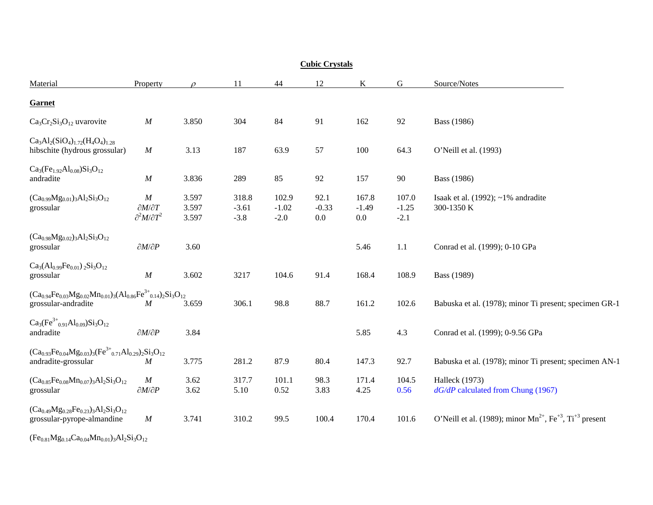| <b>Cubic Crystals</b>                                                                                  |                                                             |                         |                            |                            |                        |                             |                            |                                                                                      |  |  |  |
|--------------------------------------------------------------------------------------------------------|-------------------------------------------------------------|-------------------------|----------------------------|----------------------------|------------------------|-----------------------------|----------------------------|--------------------------------------------------------------------------------------|--|--|--|
| Material                                                                                               | Property                                                    |                         | 11                         | 44                         | 12                     | K                           | $\mathbf G$                | Source/Notes                                                                         |  |  |  |
| Garnet                                                                                                 |                                                             |                         |                            |                            |                        |                             |                            |                                                                                      |  |  |  |
| $Ca3Cr2Si3O12$ uvarovite                                                                               | $\boldsymbol{M}$                                            | 3.850                   | 304                        | 84                         | 91                     | 162                         | 92                         | <b>Bass</b> (1986)                                                                   |  |  |  |
| $Ca3Al2(SiO4)1.72(H4O4)1.28$<br>hibschite (hydrous grossular)                                          | $\cal M$                                                    | 3.13                    | 187                        | 63.9                       | 57                     | 100                         | 64.3                       | O'Neill et al. (1993)                                                                |  |  |  |
| $Ca3(Fe1.92Al0.08)Si3O12$<br>andradite                                                                 | $\cal M$                                                    | 3.836                   | 289                        | 85                         | 92                     | 157                         | 90                         | Bass (1986)                                                                          |  |  |  |
| $(Ca_{0.99}Mg_{0.01})_3Al_2Si_3O_{12}$<br>grossular                                                    | M<br>$\partial M/\partial T$<br>$\partial^2 M/\partial T^2$ | 3.597<br>3.597<br>3.597 | 318.8<br>$-3.61$<br>$-3.8$ | 102.9<br>$-1.02$<br>$-2.0$ | 92.1<br>$-0.33$<br>0.0 | 167.8<br>$-1.49$<br>$0.0\,$ | 107.0<br>$-1.25$<br>$-2.1$ | Isaak et al. $(1992)$ ; ~1% and radite<br>300-1350 K                                 |  |  |  |
| $(Ca_{0.98}Mg_{0.02})_3Al_2Si_3O_{12}$<br>grossular                                                    | $\partial M/\partial P$                                     | 3.60                    |                            |                            |                        | 5.46                        | 1.1                        | Conrad et al. (1999); 0-10 GPa                                                       |  |  |  |
| $Ca3(Al0.99Fe0.01)2Si3O12$<br>grossular                                                                | $\boldsymbol{M}$                                            | 3.602                   | 3217                       | 104.6                      | 91.4                   | 168.4                       | 108.9                      | Bass (1989)                                                                          |  |  |  |
| $(Ca_{0.94}Fe_{0.03}Mg_{0.02}Mn_{0.01})_3(Al_{0.86}Fe^{3+}_{0.14})_2Si_3O_{12}$<br>grossular-andradite | M                                                           | 3.659                   | 306.1                      | 98.8                       | 88.7                   | 161.2                       | 102.6                      | Babuska et al. (1978); minor Ti present; specimen GR-1                               |  |  |  |
| $Ca_3(Fe^{3+}_{0.91}Al_{0.09})Si_3O_{12}$<br>andradite                                                 | $\partial M/\partial P$                                     | 3.84                    |                            |                            |                        | 5.85                        | 4.3                        | Conrad et al. (1999); 0-9.56 GPa                                                     |  |  |  |
| $(Ca_{0.93}Fe_{0.04}Mg_{0.03})_3(Fe^{3+}{}_{0.71}Al_{0.29})_2Si_3O_{12}$<br>andradite-grossular        | M                                                           | 3.775                   | 281.2                      | 87.9                       | 80.4                   | 147.3                       | 92.7                       | Babuska et al. (1978); minor Ti present; specimen AN-1                               |  |  |  |
| $(Ca_{0.85}Fe_{0.08}Mn_{0.07})_3Al_2Si_3O_{12}$<br>grossular                                           | $\boldsymbol{M}$<br>$\partial M/\partial P$                 | 3.62<br>3.62            | 317.7<br>5.10              | 101.1<br>0.52              | 98.3<br>3.83           | 171.4<br>4.25               | 104.5<br>0.56              | Halleck (1973)<br>$dG/dP$ calculated from Chung (1967)                               |  |  |  |
| $(Ca_{0.49}Mg_{0.28}Fe_{0.23})_3Al_2Si_3O_{12}$<br>grossular-pyrope-almandine                          | $\cal M$                                                    | 3.741                   | 310.2                      | 99.5                       | 100.4                  | 170.4                       | 101.6                      | O'Neill et al. (1989); minor $Mn^{2+}$ , Fe <sup>+3</sup> , Ti <sup>+3</sup> present |  |  |  |

 $(Fe_{0.81}Mg_{0.14}Ca_{0.04}Mn_{0.01})_3Al_2Si_3O_{12}$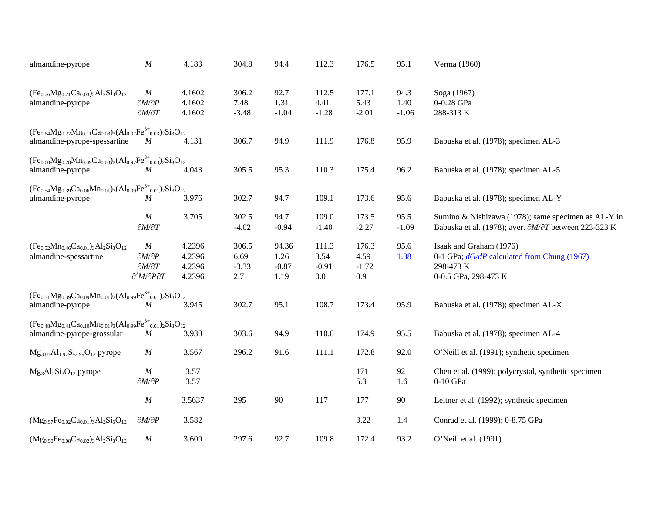| almandine-pyrope                                                                                                | $\cal M$                                           | 4.183            | 304.8           | 94.4            | 112.3           | 176.5           | 95.1            | Verma (1960)                                                           |
|-----------------------------------------------------------------------------------------------------------------|----------------------------------------------------|------------------|-----------------|-----------------|-----------------|-----------------|-----------------|------------------------------------------------------------------------|
| $(Fe_{0.76}Mg_{0.21}Ca_{0.03})_3Al_2Si_3O_{12}$                                                                 | $\boldsymbol{M}$                                   | 4.1602           | 306.2           | 92.7            | 112.5           | 177.1           | 94.3            | Soga (1967)                                                            |
| almandine-pyrope                                                                                                | $\partial M/\partial P$<br>$\partial M/\partial T$ | 4.1602<br>4.1602 | 7.48<br>$-3.48$ | 1.31<br>$-1.04$ | 4.41<br>$-1.28$ | 5.43<br>$-2.01$ | 1.40<br>$-1.06$ | 0-0.28 GPa<br>288-313K                                                 |
| $(Fe_{0.64}Mg_{0.22}Mn_{0.11}Ca_{0.03})_3(Al_{0.97}Fe^{3+}_{0.03})_2Si_3O_{12}$<br>almandine-pyrope-spessartine | M                                                  | 4.131            | 306.7           | 94.9            | 111.9           | 176.8           | 95.9            | Babuska et al. (1978); specimen AL-3                                   |
|                                                                                                                 |                                                    |                  |                 |                 |                 |                 |                 |                                                                        |
| $(Fe_{0.60}Mg_{0.28}Mn_{0.09}Ca_{0.03})_3(Al_{0.97}Fe^{3+}_{0.03})_2Si_3O_{12}$<br>almandine-pyrope             | $\boldsymbol{M}$                                   | 4.043            | 305.5           | 95.3            | 110.3           | 175.4           | 96.2            | Babuska et al. (1978); specimen AL-5                                   |
| $(Fe_{0.54}Mg_{0.39}Ca_{0.06}Mn_{0.01})_3(Al_{0.99}Fe^{3+}_{0.01})_2Si_3O_{12}$<br>almandine-pyrope             | M                                                  | 3.976            | 302.7           | 94.7            | 109.1           | 173.6           | 95.6            | Babuska et al. (1978); specimen AL-Y                                   |
|                                                                                                                 |                                                    |                  |                 |                 |                 |                 |                 |                                                                        |
|                                                                                                                 | $\boldsymbol{M}$                                   | 3.705            | 302.5           | 94.7            | 109.0           | 173.5           | 95.5            | Sumino & Nishizawa (1978); same specimen as AL-Y in                    |
|                                                                                                                 | $\partial M/\partial T$                            |                  | $-4.02$         | $-0.94$         | $-1.40$         | $-2.27$         | $-1.09$         | Babuska et al. (1978); aver. $\partial M/\partial T$ between 223-323 K |
| $(Fe_{0.52}Mn_{0.46}Ca_{0.01})_3Al_2Si_3O_{12}$                                                                 | M                                                  | 4.2396           | 306.5           | 94.36           | 111.3           | 176.3           | 95.6            | Isaak and Graham (1976)                                                |
| almandine-spessartine                                                                                           | $\partial M/\partial P$                            | 4.2396           | 6.69            | 1.26            | 3.54            | 4.59            | 1.38            | 0-1 GPa; $dG/dP$ calculated from Chung (1967)                          |
|                                                                                                                 | $\partial M/\partial T$                            | 4.2396           | $-3.33$         | $-0.87$         | $-0.91$         | $-1.72$         |                 | 298-473 K                                                              |
|                                                                                                                 | $\partial^2 M/\partial P \partial T$               | 4.2396           | 2.7             | 1.19            | 0.0             | 0.9             |                 | 0-0.5 GPa, 298-473 K                                                   |
| $(Fe_{0.51}Mg_{0.39}Ca_{0.09}Mn_{0.01})_3(Al_{0.99}Fe^{3+}_{0.01})_2Si_3O_{12}$                                 |                                                    |                  |                 |                 |                 |                 |                 |                                                                        |
| almandine-pyrope                                                                                                | $\boldsymbol{M}$                                   | 3.945            | 302.7           | 95.1            | 108.7           | 173.4           | 95.9            | Babuska et al. (1978); specimen AL-X                                   |
| $(Fe_{0.48}Mg_{0.41}Ca_{0.10}Mn_{0.01})_3(Al_{0.99}Fe^{3+}{}_{0.01})_2Si_3O_{12}$                               |                                                    |                  |                 |                 |                 |                 |                 |                                                                        |
| almandine-pyrope-grossular                                                                                      | $\boldsymbol{M}$                                   | 3.930            | 303.6           | 94.9            | 110.6           | 174.9           | 95.5            | Babuska et al. (1978); specimen AL-4                                   |
| $Mg_{3,03}Al_{1,97}Si_{2,99}O_{12}$ pyrope                                                                      | $\boldsymbol{M}$                                   | 3.567            | 296.2           | 91.6            | 111.1           | 172.8           | 92.0            | O'Neill et al. (1991); synthetic specimen                              |
| $Mg_3Al_2Si_3O_{12}$ pyrope                                                                                     | $\cal M$                                           | 3.57             |                 |                 |                 | 171             | 92              | Chen et al. (1999); polycrystal, synthetic specimen                    |
|                                                                                                                 | $\partial M/\partial P$                            | 3.57             |                 |                 |                 | 5.3             | 1.6             | 0-10 GPa                                                               |
|                                                                                                                 | $\cal M$                                           | 3.5637           | 295             | 90              | 117             | 177             | 90              | Leitner et al. (1992); synthetic specimen                              |
| $(Mg_{0.97}Fe_{0.02}Ca_{0.01})_3Al_2Si_3O_{12}$                                                                 | $\partial M/\partial P$                            | 3.582            |                 |                 |                 | 3.22            | 1.4             | Conrad et al. (1999); 0-8.75 GPa                                       |
| $(Mg_{0.90}Fe_{0.08}Ca_{0.02})_3Al_2Si_3O_{12}$                                                                 | $\cal M$                                           | 3.609            | 297.6           | 92.7            | 109.8           | 172.4           | 93.2            | O'Neill et al. (1991)                                                  |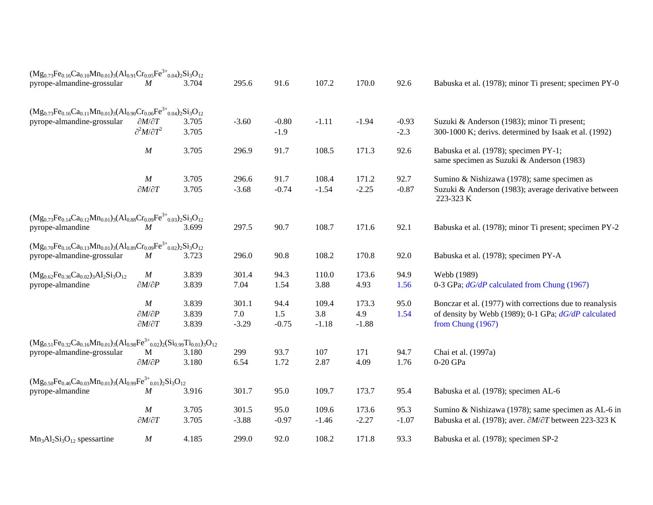| $(Mg_{0.73}Fe_{0.16}Ca_{0.10}Mn_{0.01})_3(Al_{0.91}Cr_{0.05}Fe^{3+}_{0.04})_2Si_3O_{12}$            |                                                        |                |         |                   |         |         |                   |                                                                                                      |
|-----------------------------------------------------------------------------------------------------|--------------------------------------------------------|----------------|---------|-------------------|---------|---------|-------------------|------------------------------------------------------------------------------------------------------|
| pyrope-almandine-grossular                                                                          | $\boldsymbol{M}$                                       | 3.704          | 295.6   | 91.6              | 107.2   | 170.0   | 92.6              | Babuska et al. (1978); minor Ti present; specimen PY-0                                               |
| $(Mg_{0.73}Fe_{0.16}Ca_{0.11}Mn_{0.01})_3(Al_{0.90}Cr_{0.06}Fe^{3+}_{0.04})_2Si_3O_{12}$            |                                                        |                |         |                   |         |         |                   |                                                                                                      |
| pyrope-almandine-grossular                                                                          | $\partial M/\partial T$<br>$\partial^2 M/\partial T^2$ | 3.705<br>3.705 | $-3.60$ | $-0.80$<br>$-1.9$ | $-1.11$ | $-1.94$ | $-0.93$<br>$-2.3$ | Suzuki & Anderson (1983); minor Ti present;<br>300-1000 K; derivs. determined by Isaak et al. (1992) |
|                                                                                                     |                                                        |                |         |                   |         |         |                   |                                                                                                      |
|                                                                                                     | M                                                      | 3.705          | 296.9   | 91.7              | 108.5   | 171.3   | 92.6              | Babuska et al. (1978); specimen PY-1;<br>same specimen as Suzuki & Anderson (1983)                   |
|                                                                                                     | $\boldsymbol{M}$                                       | 3.705          | 296.6   | 91.7              | 108.4   | 171.2   | 92.7              | Sumino & Nishizawa (1978); same specimen as                                                          |
|                                                                                                     | $\partial M/\partial T$                                | 3.705          | $-3.68$ | $-0.74$           | $-1.54$ | $-2.25$ | $-0.87$           | Suzuki & Anderson (1983); average derivative between<br>223-323 K                                    |
| $(Mg_{0.73}Fe_{0.14}Ca_{0.12}Mn_{0.01})_3(Al_{0.88}Cr_{0.09}Fe^{3+}_{0.03})_2Si_3O_{12}$            |                                                        |                |         |                   |         |         |                   |                                                                                                      |
| pyrope-almandine                                                                                    | $\boldsymbol{M}$                                       | 3.699          | 297.5   | 90.7              | 108.7   | 171.6   | 92.1              | Babuska et al. (1978); minor Ti present; specimen PY-2                                               |
| $(Mg_{0.70}Fe_{0.16}Ca_{0.13}Mn_{0.01})_3(Al_{0.89}Cr_{0.09}Fe^{3+}_{0.02})_2Si_3O_{12}$            |                                                        |                |         |                   |         |         |                   |                                                                                                      |
| pyrope-almandine-grossular                                                                          | $\boldsymbol{M}$                                       | 3.723          | 296.0   | 90.8              | 108.2   | 170.8   | 92.0              | Babuska et al. (1978); specimen PY-A                                                                 |
| $(Mg_{0.62}Fe_{0.36}Ca_{0.02})_3Al_2Si_3O_{12}$                                                     | $\boldsymbol{M}$                                       | 3.839          | 301.4   | 94.3              | 110.0   | 173.6   | 94.9              | Webb (1989)                                                                                          |
| pyrope-almandine                                                                                    | $\partial M/\partial P$                                | 3.839          | 7.04    | 1.54              | 3.88    | 4.93    | 1.56              | 0-3 GPa; $dG/dP$ calculated from Chung (1967)                                                        |
|                                                                                                     | $\boldsymbol{M}$                                       | 3.839          | 301.1   | 94.4              | 109.4   | 173.3   | 95.0              | Bonczar et al. (1977) with corrections due to reanalysis                                             |
|                                                                                                     | $\partial M/\partial P$                                | 3.839          | 7.0     | 1.5               | 3.8     | 4.9     | 1.54              | of density by Webb (1989); 0-1 GPa; $dG/dP$ calculated                                               |
|                                                                                                     | $\partial M/\partial T$                                | 3.839          | $-3.29$ | $-0.75$           | $-1.18$ | $-1.88$ |                   | from Chung (1967)                                                                                    |
| $(Mg_{0.51}Fe_{0.32}Ca_{0.16}Mn_{0.01})_3(Al_{0.98}Fe^{3+}{}_{0.02})_2(Si_{0.99}Ti_{0.01})_3O_{12}$ |                                                        |                |         |                   |         |         |                   |                                                                                                      |
| pyrope-almandine-grossular                                                                          | M                                                      | 3.180          | 299     | 93.7              | 107     | 171     | 94.7              | Chai et al. (1997a)                                                                                  |
|                                                                                                     | $\partial M/\partial P$                                | 3.180          | 6.54    | 1.72              | 2.87    | 4.09    | 1.76              | 0-20 GPa                                                                                             |
| $(Mg_{0.50}Fe_{0.46}Ca_{0.03}Mn_{0.01})_3(Al_{0.99}Fe^{3+}_{0.01})_2Si_3O_{12}$                     |                                                        |                |         |                   |         |         |                   |                                                                                                      |
| pyrope-almandine                                                                                    | $\boldsymbol{M}$                                       | 3.916          | 301.7   | 95.0              | 109.7   | 173.7   | 95.4              | Babuska et al. (1978); specimen AL-6                                                                 |
|                                                                                                     | $\boldsymbol{M}$                                       | 3.705          | 301.5   | 95.0              | 109.6   | 173.6   | 95.3              | Sumino & Nishizawa (1978); same specimen as AL-6 in                                                  |
|                                                                                                     | $\partial M/\partial T$                                | 3.705          | $-3.88$ | $-0.97$           | $-1.46$ | $-2.27$ | $-1.07$           | Babuska et al. (1978); aver. $\partial M/\partial T$ between 223-323 K                               |
| $Mn_3Al_2Si_3O_{12}$ spessartine                                                                    | $\boldsymbol{M}$                                       | 4.185          | 299.0   | 92.0              | 108.2   | 171.8   | 93.3              | Babuska et al. (1978); specimen SP-2                                                                 |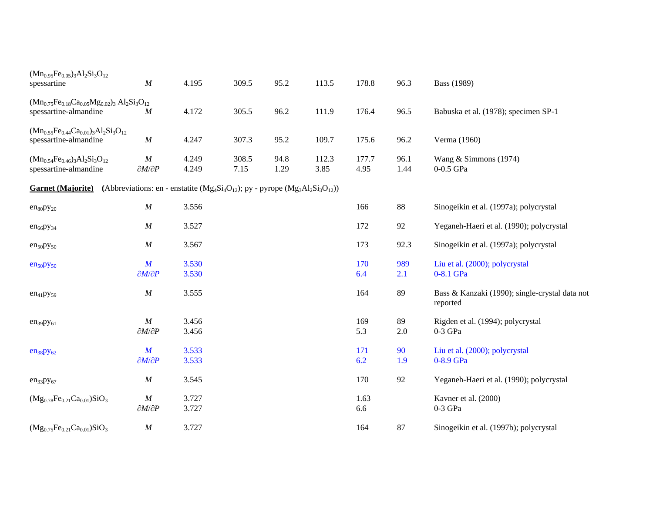| $(Mn_{0.95}Fe_{0.05})_3Al_2Si_3O_{12}$<br>spessartine                              | M                                                                                          | 4.195          | 309.5         | 95.2         | 113.5         | 178.8         | 96.3          | <b>Bass</b> (1989)                                         |
|------------------------------------------------------------------------------------|--------------------------------------------------------------------------------------------|----------------|---------------|--------------|---------------|---------------|---------------|------------------------------------------------------------|
| $(Mn_{0.75}Fe_{0.18}Ca_{0.05}Mg_{0.02})_3 Al_2Si_3O_{12}$<br>spessartine-almandine | $\boldsymbol{M}$                                                                           | 4.172          | 305.5         | 96.2         | 111.9         | 176.4         | 96.5          | Babuska et al. (1978); specimen SP-1                       |
| $(Mn_{0.55}Fe_{0.44}Ca_{0.01})_3Al_2Si_3O_{12}$<br>spessartine-almandine           | M                                                                                          | 4.247          | 307.3         | 95.2         | 109.7         | 175.6         | 96.2          | Verma (1960)                                               |
| $(Mn_{0.54}Fe_{0.46})_3Al_2Si_3O_{12}$<br>spessartine-almandine                    | M<br>$\partial M/\partial P$                                                               | 4.249<br>4.249 | 308.5<br>7.15 | 94.8<br>1.29 | 112.3<br>3.85 | 177.7<br>4.95 | 96.1<br>1.44  | Wang $&$ Simmons (1974)<br>$0-0.5$ GPa                     |
| <b>Garnet (Majorite)</b>                                                           | (Abbreviations: en - enstatite ( $Mg_4Si_4O_{12}$ ); py - pyrope ( $Mg_3Al_2Si_3O_{12}$ )) |                |               |              |               |               |               |                                                            |
| $en_{80}py_{20}$                                                                   | $\boldsymbol{M}$                                                                           | 3.556          |               |              |               | 166           | 88            | Sinogeikin et al. (1997a); polycrystal                     |
| $en_{66}py_{34}$                                                                   | M                                                                                          | 3.527          |               |              |               | 172           | 92            | Yeganeh-Haeri et al. (1990); polycrystal                   |
| en <sub>50</sub> py <sub>50</sub>                                                  | $\boldsymbol{M}$                                                                           | 3.567          |               |              |               | 173           | 92.3          | Sinogeikin et al. (1997a); polycrystal                     |
| en <sub>50</sub> py <sub>50</sub>                                                  | $\boldsymbol{M}$<br>$\partial M/\partial P$                                                | 3.530<br>3.530 |               |              |               | 170<br>6.4    | 989<br>2.1    | Liu et al. (2000); polycrystal<br>0-8.1 GPa                |
| $en_{41}py_{59}$                                                                   | M                                                                                          | 3.555          |               |              |               | 164           | 89            | Bass & Kanzaki (1990); single-crystal data not<br>reported |
| $en_{39}py_{61}$                                                                   | $\boldsymbol{M}$<br>$\partial M/\partial P$                                                | 3.456<br>3.456 |               |              |               | 169<br>5.3    | 89<br>$2.0\,$ | Rigden et al. (1994); polycrystal<br>$0-3$ GPa             |
| $en_{38}py_{62}$                                                                   | $\boldsymbol{M}$<br>$\partial M/\partial P$                                                | 3.533<br>3.533 |               |              |               | 171<br>6.2    | 90<br>1.9     | Liu et al. (2000); polycrystal<br>0-8.9 GPa                |
| $en_{33}py_{67}$                                                                   | $\boldsymbol{M}$                                                                           | 3.545          |               |              |               | 170           | 92            | Yeganeh-Haeri et al. (1990); polycrystal                   |
| $(Mg_{0.78}Fe_{0.21}Ca_{0.01})SiO_3$                                               | $\cal M$<br>$\partial M/\partial P$                                                        | 3.727<br>3.727 |               |              |               | 1.63<br>6.6   |               | Kavner et al. (2000)<br>$0-3$ GPa                          |
| $(Mg_{0.75}Fe_{0.21}Ca_{0.01})SiO_3$                                               | $\boldsymbol{M}$                                                                           | 3.727          |               |              |               | 164           | 87            | Sinogeikin et al. (1997b); polycrystal                     |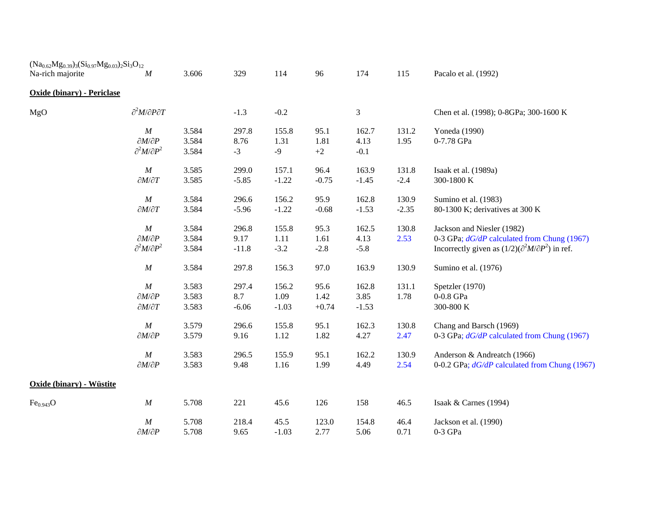| $(Na_{0.62}Mg_{0.39})_3(Si_{0.97}Mg_{0.03})_2Si_3O_{12}$ |                                                        |                |              |              |              |                |         |                                                                 |
|----------------------------------------------------------|--------------------------------------------------------|----------------|--------------|--------------|--------------|----------------|---------|-----------------------------------------------------------------|
| Na-rich majorite                                         | $\boldsymbol{M}$                                       | 3.606          | 329          | 114          | 96           | 174            | 115     | Pacalo et al. (1992)                                            |
| <b>Oxide (binary) - Periclase</b>                        |                                                        |                |              |              |              |                |         |                                                                 |
| MgO                                                      | $\partial^2 M/\partial P \partial T$                   |                | $-1.3$       | $-0.2$       |              | 3              |         | Chen et al. (1998); 0-8GPa; 300-1600 K                          |
|                                                          | $\boldsymbol{M}$                                       | 3.584          | 297.8        | 155.8        | 95.1         | 162.7          | 131.2   | Yoneda (1990)                                                   |
|                                                          | $\partial M/\partial P$<br>$\partial^2 M/\partial P^2$ | 3.584<br>3.584 | 8.76<br>$-3$ | 1.31<br>$-9$ | 1.81<br>$+2$ | 4.13<br>$-0.1$ | 1.95    | 0-7.78 GPa                                                      |
|                                                          | $\cal M$                                               | 3.585          | 299.0        | 157.1        | 96.4         | 163.9          | 131.8   | Isaak et al. (1989a)                                            |
|                                                          | $\partial M/\partial T$                                | 3.585          | $-5.85$      | $-1.22$      | $-0.75$      | $-1.45$        | $-2.4$  | 300-1800 K                                                      |
|                                                          | $\boldsymbol{M}$                                       | 3.584          | 296.6        | 156.2        | 95.9         | 162.8          | 130.9   | Sumino et al. (1983)                                            |
|                                                          | $\partial M/\partial T$                                | 3.584          | $-5.96$      | $-1.22$      | $-0.68$      | $-1.53$        | $-2.35$ | 80-1300 K; derivatives at 300 K                                 |
|                                                          | $\cal M$                                               | 3.584          | 296.8        | 155.8        | 95.3         | 162.5          | 130.8   | Jackson and Niesler (1982)                                      |
|                                                          | $\partial M/\partial P$                                | 3.584          | 9.17         | 1.11         | 1.61         | 4.13           | 2.53    | 0-3 GPa; $dG/dP$ calculated from Chung (1967)                   |
|                                                          | $\partial^2 M/\partial P^2$                            | 3.584          | $-11.8$      | $-3.2$       | $-2.8$       | $-5.8$         |         | Incorrectly given as $(1/2)(\partial^2 M/\partial P^2)$ in ref. |
|                                                          | $\cal M$                                               | 3.584          | 297.8        | 156.3        | 97.0         | 163.9          | 130.9   | Sumino et al. (1976)                                            |
|                                                          | M                                                      | 3.583          | 297.4        | 156.2        | 95.6         | 162.8          | 131.1   | Spetzler (1970)                                                 |
|                                                          | $\partial M/\partial P$                                | 3.583          | 8.7          | 1.09         | 1.42         | 3.85           | 1.78    | 0-0.8 GPa                                                       |
|                                                          | $\partial M/\partial T$                                | 3.583          | $-6.06$      | $-1.03$      | $+0.74$      | $-1.53$        |         | 300-800 K                                                       |
|                                                          | $\cal M$                                               | 3.579          | 296.6        | 155.8        | 95.1         | 162.3          | 130.8   | Chang and Barsch (1969)                                         |
|                                                          | $\partial M/\partial P$                                | 3.579          | 9.16         | 1.12         | 1.82         | 4.27           | 2.47    | 0-3 GPa; $dG/dP$ calculated from Chung (1967)                   |
|                                                          | $\boldsymbol{M}$                                       | 3.583          | 296.5        | 155.9        | 95.1         | 162.2          | 130.9   | Anderson & Andreatch (1966)                                     |
|                                                          | $\partial M/\partial P$                                | 3.583          | 9.48         | 1.16         | 1.99         | 4.49           | 2.54    | 0-0.2 GPa; dG/dP calculated from Chung (1967)                   |
| Oxide (binary) - Wüstite                                 |                                                        |                |              |              |              |                |         |                                                                 |
| Fe <sub>0.943</sub> O                                    | $\boldsymbol{M}$                                       | 5.708          | 221          | 45.6         | 126          | 158            | 46.5    | Isaak & Carnes (1994)                                           |
|                                                          | $\boldsymbol{M}$                                       | 5.708          | 218.4        | 45.5         | 123.0        | 154.8          | 46.4    | Jackson et al. (1990)                                           |
|                                                          | $\partial M/\partial P$                                | 5.708          | 9.65         | $-1.03$      | 2.77         | 5.06           | 0.71    | $0-3$ GPa                                                       |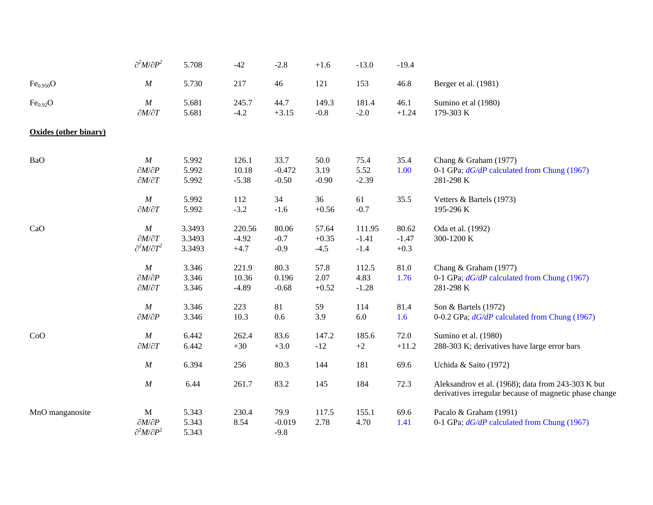|                       | $\partial^2 M/\partial P^2$                                           | 5.708                      | $-42$                       | $-2.8$                      | $+1.6$                     | $-13.0$                     | $-19.4$                    |                                                                                                              |
|-----------------------|-----------------------------------------------------------------------|----------------------------|-----------------------------|-----------------------------|----------------------------|-----------------------------|----------------------------|--------------------------------------------------------------------------------------------------------------|
| Fe <sub>0.950</sub> O | $\cal M$                                                              | 5.730                      | 217                         | 46                          | 121                        | 153                         | 46.8                       | Berger et al. (1981)                                                                                         |
| Fe <sub>0.92</sub> O  | $\cal M$<br>$\partial M/\partial T$                                   | 5.681<br>5.681             | 245.7<br>$-4.2$             | 44.7<br>$+3.15$             | 149.3<br>$-0.8$            | 181.4<br>$-2.0$             | 46.1<br>$+1.24$            | Sumino et al (1980)<br>179-303 K                                                                             |
| Oxides (other binary) |                                                                       |                            |                             |                             |                            |                             |                            |                                                                                                              |
| BaO                   | $\cal M$<br>$\partial M/\partial P$<br>$\partial M/\partial T$        | 5.992<br>5.992<br>5.992    | 126.1<br>10.18<br>$-5.38$   | 33.7<br>$-0.472$<br>$-0.50$ | 50.0<br>3.19<br>$-0.90$    | 75.4<br>5.52<br>$-2.39$     | 35.4<br>1.00               | Chang & Graham (1977)<br>0-1 GPa; $dG/dP$ calculated from Chung (1967)<br>281-298 K                          |
|                       | $\cal M$<br>$\partial M/\partial T$                                   | 5.992<br>5.992             | 112<br>$-3.2$               | 34<br>$-1.6$                | 36<br>$+0.56$              | 61<br>$-0.7$                | 35.5                       | Vetters & Bartels (1973)<br>195-296 K                                                                        |
| CaO                   | $\cal M$<br>$\partial M/\partial T$<br>$\partial^2 M/\partial T^2$    | 3.3493<br>3.3493<br>3.3493 | 220.56<br>$-4.92$<br>$+4.7$ | 80.06<br>$-0.7$<br>$-0.9$   | 57.64<br>$+0.35$<br>$-4.5$ | 111.95<br>$-1.41$<br>$-1.4$ | 80.62<br>$-1.47$<br>$+0.3$ | Oda et al. (1992)<br>300-1200 K                                                                              |
|                       | $\cal M$<br>$\partial M/\partial P$<br>$\partial M/\partial T$        | 3.346<br>3.346<br>3.346    | 221.9<br>10.36<br>$-4.89$   | 80.3<br>0.196<br>$-0.68$    | 57.8<br>2.07<br>$+0.52$    | 112.5<br>4.83<br>$-1.28$    | 81.0<br>1.76               | Chang & Graham (1977)<br>0-1 GPa; $dG/dP$ calculated from Chung (1967)<br>281-298 K                          |
|                       | $\cal M$<br>$\partial M/\partial P$                                   | 3.346<br>3.346             | 223<br>10.3                 | 81<br>$0.6\,$               | 59<br>3.9                  | 114<br>$6.0\,$              | 81.4<br>1.6                | Son & Bartels (1972)<br>0-0.2 GPa; dG/dP calculated from Chung (1967)                                        |
| CoO                   | $\cal M$<br>$\partial M/\partial T$                                   | 6.442<br>6.442             | 262.4<br>$+30$              | 83.6<br>$+3.0$              | 147.2<br>$-12$             | 185.6<br>$+2$               | 72.0<br>$+11.2$            | Sumino et al. (1980)<br>288-303 K; derivatives have large error bars                                         |
|                       | $\cal M$                                                              | 6.394                      | 256                         | 80.3                        | 144                        | 181                         | 69.6                       | Uchida & Saito (1972)                                                                                        |
|                       | $\cal M$                                                              | 6.44                       | 261.7                       | 83.2                        | 145                        | 184                         | 72.3                       | Aleksandrov et al. (1968); data from 243-303 K but<br>derivatives irregular because of magnetic phase change |
| MnO manganosite       | $\mathbf M$<br>$\partial M/\partial P$<br>$\partial^2 M/\partial P^2$ | 5.343<br>5.343<br>5.343    | 230.4<br>8.54               | 79.9<br>$-0.019$<br>$-9.8$  | 117.5<br>2.78              | 155.1<br>4.70               | 69.6<br>1.41               | Pacalo & Graham (1991)<br>0-1 GPa; $dG/dP$ calculated from Chung (1967)                                      |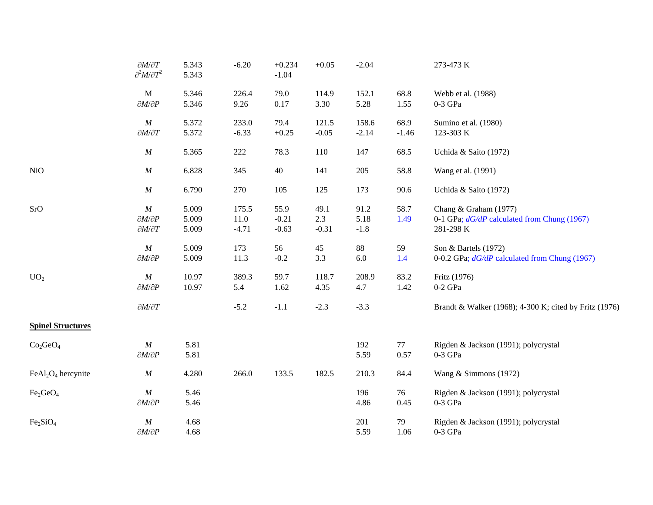|                                  | $\partial M/\partial T$<br>$\partial^2 M/\partial T^2$         | 5.343<br>5.343          | $-6.20$                      | $+0.234$<br>$-1.04$        | $+0.05$                | $-2.04$                |                 | 273-473 K                                                                           |
|----------------------------------|----------------------------------------------------------------|-------------------------|------------------------------|----------------------------|------------------------|------------------------|-----------------|-------------------------------------------------------------------------------------|
|                                  | $\mathbf M$<br>$\partial M/\partial P$                         | 5.346<br>5.346          | 226.4<br>9.26                | 79.0<br>$0.17\,$           | 114.9<br>3.30          | 152.1<br>5.28          | 68.8<br>1.55    | Webb et al. (1988)<br>$0-3$ GPa $\,$                                                |
|                                  | $\cal M$<br>$\partial M/\partial T$                            | 5.372<br>5.372          | 233.0<br>$-6.33$             | 79.4<br>$+0.25$            | 121.5<br>$-0.05$       | 158.6<br>$-2.14$       | 68.9<br>$-1.46$ | Sumino et al. (1980)<br>123-303 K                                                   |
|                                  | $\cal M$                                                       | 5.365                   | $222\,$                      | 78.3                       | 110                    | 147                    | 68.5            | Uchida & Saito (1972)                                                               |
| <b>NiO</b>                       | $\boldsymbol{M}$                                               | 6.828                   | 345                          | 40                         | 141                    | 205                    | 58.8            | Wang et al. (1991)                                                                  |
|                                  | $\cal M$                                                       | 6.790                   | 270                          | 105                        | 125                    | 173                    | 90.6            | Uchida & Saito (1972)                                                               |
| SrO                              | $\cal M$<br>$\partial M/\partial P$<br>$\partial M/\partial T$ | 5.009<br>5.009<br>5.009 | 175.5<br>$11.0\,$<br>$-4.71$ | 55.9<br>$-0.21$<br>$-0.63$ | 49.1<br>2.3<br>$-0.31$ | 91.2<br>5.18<br>$-1.8$ | 58.7<br>1.49    | Chang & Graham (1977)<br>0-1 GPa; $dG/dP$ calculated from Chung (1967)<br>281-298 K |
|                                  | $\boldsymbol{M}$<br>$\partial M/\partial P$                    | 5.009<br>5.009          | 173<br>11.3                  | 56<br>$-0.2$               | 45<br>3.3              | 88<br>$6.0\,$          | 59<br>1.4       | Son & Bartels (1972)<br>0-0.2 GPa; $dG/dP$ calculated from Chung (1967)             |
| UO <sub>2</sub>                  | $\cal M$<br>$\partial M/\partial P$                            | 10.97<br>10.97          | 389.3<br>5.4                 | 59.7<br>1.62               | 118.7<br>4.35          | 208.9<br>4.7           | 83.2<br>1.42    | Fritz (1976)<br>$0-2$ GPa                                                           |
|                                  | $\partial M/\partial T$                                        |                         | $-5.2$                       | $-1.1$                     | $-2.3$                 | $-3.3$                 |                 | Brandt & Walker (1968); 4-300 K; cited by Fritz (1976)                              |
| <b>Spinel Structures</b>         |                                                                |                         |                              |                            |                        |                        |                 |                                                                                     |
| Co <sub>2</sub> GeO <sub>4</sub> | $\boldsymbol{M}$<br>$\partial M/\partial P$                    | 5.81<br>5.81            |                              |                            |                        | 192<br>5.59            | 77<br>0.57      | Rigden & Jackson (1991); polycrystal<br>$0-3$ GPa                                   |
| $FeAl2O4$ hercynite              | $\cal M$                                                       | 4.280                   | 266.0                        | 133.5                      | 182.5                  | 210.3                  | 84.4            | Wang & Simmons (1972)                                                               |
| Fe <sub>2</sub> GeO <sub>4</sub> | $\cal M$<br>$\partial M/\partial P$                            | 5.46<br>5.46            |                              |                            |                        | 196<br>4.86            | 76<br>0.45      | Rigden & Jackson (1991); polycrystal<br>$0-3$ GPa                                   |
| Fe <sub>2</sub> SiO <sub>4</sub> | $\cal M$<br>$\partial M/\partial P$                            | 4.68<br>4.68            |                              |                            |                        | 201<br>5.59            | 79<br>1.06      | Rigden & Jackson (1991); polycrystal<br>$0-3$ GPa                                   |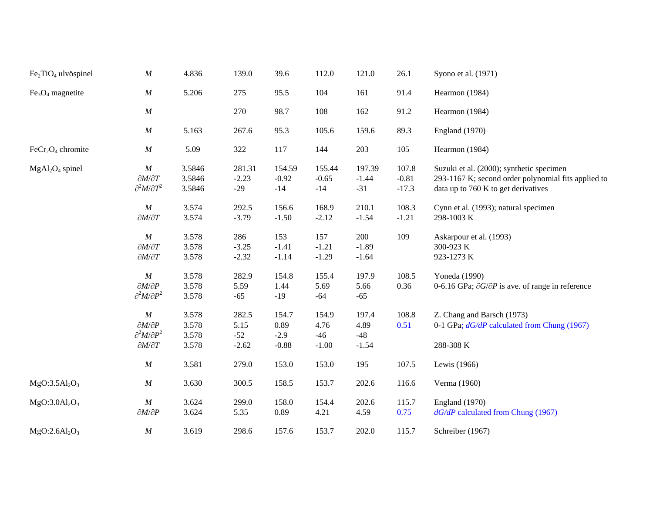| $Fe2TiO4$ ulvöspinel                  | $\cal M$                                                                                      | 4.836                            | 139.0                             | 39.6                               | 112.0                             | 121.0                             | 26.1                        | Syono et al. (1971)                                                                                                                    |
|---------------------------------------|-----------------------------------------------------------------------------------------------|----------------------------------|-----------------------------------|------------------------------------|-----------------------------------|-----------------------------------|-----------------------------|----------------------------------------------------------------------------------------------------------------------------------------|
| $Fe3O4$ magnetite                     | $\cal M$                                                                                      | 5.206                            | 275                               | 95.5                               | 104                               | 161                               | 91.4                        | Hearmon (1984)                                                                                                                         |
|                                       | $\cal M$                                                                                      |                                  | 270                               | 98.7                               | 108                               | 162                               | 91.2                        | Hearmon (1984)                                                                                                                         |
|                                       | $\cal M$                                                                                      | 5.163                            | 267.6                             | 95.3                               | 105.6                             | 159.6                             | 89.3                        | England (1970)                                                                                                                         |
| $FeCr2O4$ chromite                    | $\cal M$                                                                                      | 5.09                             | 322                               | 117                                | 144                               | 203                               | 105                         | Hearmon (1984)                                                                                                                         |
| $MgAl2O4$ spinel                      | $\cal M$<br>$\partial M/\partial T$<br>$\partial^2 M/\partial T^2$                            | 3.5846<br>3.5846<br>3.5846       | 281.31<br>$-2.23$<br>$-29$        | 154.59<br>$-0.92$<br>$-14$         | 155.44<br>$-0.65$<br>$-14$        | 197.39<br>$-1.44$<br>$-31$        | 107.8<br>$-0.81$<br>$-17.3$ | Suzuki et al. (2000); synthetic specimen<br>293-1167 K; second order polynomial fits applied to<br>data up to 760 K to get derivatives |
|                                       | $\cal M$<br>$\partial M/\partial T$                                                           | 3.574<br>3.574                   | 292.5<br>$-3.79$                  | 156.6<br>$-1.50$                   | 168.9<br>$-2.12$                  | 210.1<br>$-1.54$                  | 108.3<br>$-1.21$            | Cynn et al. (1993); natural specimen<br>298-1003 K                                                                                     |
|                                       | $\cal M$<br>$\partial M/\partial T$<br>$\partial M/\partial T$                                | 3.578<br>3.578<br>3.578          | 286<br>$-3.25$<br>$-2.32$         | 153<br>$-1.41$<br>$-1.14$          | 157<br>$-1.21$<br>$-1.29$         | 200<br>$-1.89$<br>$-1.64$         | 109                         | Askarpour et al. (1993)<br>300-923 K<br>923-1273 K                                                                                     |
|                                       | $\cal M$<br>$\partial M/\partial P$<br>$\partial^2 M/\partial P^2$                            | 3.578<br>3.578<br>3.578          | 282.9<br>5.59<br>$-65$            | 154.8<br>1.44<br>$-19$             | 155.4<br>5.69<br>$-64$            | 197.9<br>5.66<br>$-65$            | 108.5<br>0.36               | Yoneda (1990)<br>0-6.16 GPa; $\partial G/\partial P$ is ave. of range in reference                                                     |
|                                       | $\cal M$<br>$\partial M/\partial P$<br>$\partial^2 M/\partial P^2$<br>$\partial M/\partial T$ | 3.578<br>3.578<br>3.578<br>3.578 | 282.5<br>5.15<br>$-52$<br>$-2.62$ | 154.7<br>0.89<br>$-2.9$<br>$-0.88$ | 154.9<br>4.76<br>$-46$<br>$-1.00$ | 197.4<br>4.89<br>$-48$<br>$-1.54$ | 108.8<br>0.51               | Z. Chang and Barsch (1973)<br>0-1 GPa; $dG/dP$ calculated from Chung (1967)<br>288-308 K                                               |
|                                       | $\cal M$                                                                                      | 3.581                            | 279.0                             | 153.0                              | 153.0                             | 195                               | 107.5                       | Lewis (1966)                                                                                                                           |
| MgO:3.5Al <sub>2</sub> O <sub>3</sub> | $\cal M$                                                                                      | 3.630                            | 300.5                             | 158.5                              | 153.7                             | 202.6                             | 116.6                       | Verma (1960)                                                                                                                           |
| MgO:3.0Al <sub>2</sub> O <sub>3</sub> | $\boldsymbol{M}$<br>$\partial M/\partial P$                                                   | 3.624<br>3.624                   | 299.0<br>5.35                     | 158.0<br>0.89                      | 154.4<br>4.21                     | 202.6<br>4.59                     | 115.7<br>0.75               | England (1970)<br>$dG/dP$ calculated from Chung (1967)                                                                                 |
| $MgO:2.6Al_2O_3$                      | $\cal M$                                                                                      | 3.619                            | 298.6                             | 157.6                              | 153.7                             | 202.0                             | 115.7                       | Schreiber (1967)                                                                                                                       |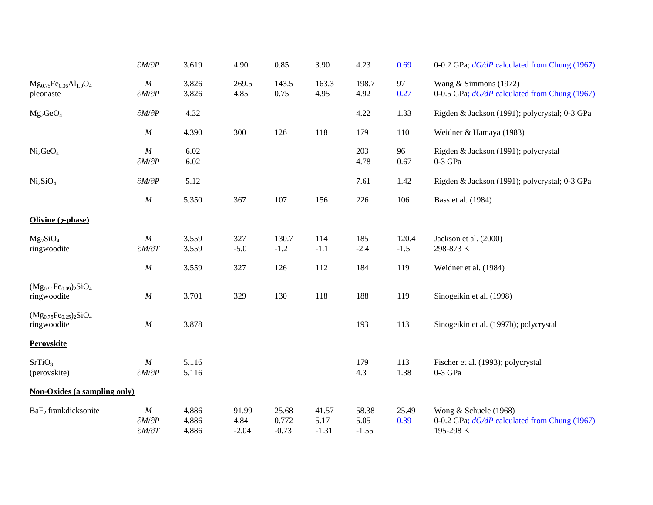|                                              | $\partial M/\partial P$                                        | 3.619                   | 4.90                     | 0.85                      | 3.90                     | 4.23                     | 0.69            | 0-0.2 GPa; $dG/dP$ calculated from Chung (1967)                                       |
|----------------------------------------------|----------------------------------------------------------------|-------------------------|--------------------------|---------------------------|--------------------------|--------------------------|-----------------|---------------------------------------------------------------------------------------|
| $Mg_{0.75}Fe_{0.36}Al_{1.9}O_4$<br>pleonaste | $\cal M$<br>$\partial M/\partial P$                            | 3.826<br>3.826          | 269.5<br>4.85            | 143.5<br>0.75             | 163.3<br>4.95            | 198.7<br>4.92            | 97<br>0.27      | Wang & Simmons (1972)<br>0-0.5 GPa; dG/dP calculated from Chung (1967)                |
| $Mg_2GeO_4$                                  | $\partial M/\partial P$                                        | 4.32                    |                          |                           |                          | 4.22                     | 1.33            | Rigden & Jackson (1991); polycrystal; 0-3 GPa                                         |
|                                              | $\cal M$                                                       | 4.390                   | 300                      | 126                       | 118                      | 179                      | 110             | Weidner & Hamaya (1983)                                                               |
| Ni <sub>2</sub> GeO <sub>4</sub>             | $\cal M$<br>$\partial M/\partial P$                            | 6.02<br>6.02            |                          |                           |                          | 203<br>4.78              | 96<br>0.67      | Rigden & Jackson (1991); polycrystal<br>$0-3$ GPa                                     |
| Ni <sub>2</sub> SiO <sub>4</sub>             | $\partial M/\partial P$                                        | 5.12                    |                          |                           |                          | 7.61                     | 1.42            | Rigden & Jackson (1991); polycrystal; 0-3 GPa                                         |
|                                              | $\cal M$                                                       | 5.350                   | 367                      | 107                       | 156                      | 226                      | 106             | Bass et al. (1984)                                                                    |
| Olivine $(r$ phase)                          |                                                                |                         |                          |                           |                          |                          |                 |                                                                                       |
| $Mg_2SiO_4$<br>ringwoodite                   | $\cal M$<br>$\partial M/\partial T$                            | 3.559<br>3.559          | 327<br>$-5.0$            | 130.7<br>$-1.2$           | 114<br>$-1.1$            | 185<br>$-2.4$            | 120.4<br>$-1.5$ | Jackson et al. (2000)<br>298-873 K                                                    |
|                                              | $\cal M$                                                       | 3.559                   | 327                      | 126                       | 112                      | 184                      | 119             | Weidner et al. (1984)                                                                 |
| $(Mg_{0.91}Fe_{0.09})_2SiO_4$<br>ringwoodite | $\cal M$                                                       | 3.701                   | 329                      | 130                       | 118                      | 188                      | 119             | Sinogeikin et al. (1998)                                                              |
| $(Mg_{0.75}Fe_{0.25})_2SiO_4$<br>ringwoodite | $\cal M$                                                       | 3.878                   |                          |                           |                          | 193                      | 113             | Sinogeikin et al. (1997b); polycrystal                                                |
| <b>Perovskite</b>                            |                                                                |                         |                          |                           |                          |                          |                 |                                                                                       |
| SrTiO <sub>3</sub><br>(perovskite)           | $\cal M$<br>$\partial M/\partial P$                            | 5.116<br>5.116          |                          |                           |                          | 179<br>4.3               | 113<br>1.38     | Fischer et al. (1993); polycrystal<br>$0-3$ GPa                                       |
| <b>Non-Oxides (a sampling only)</b>          |                                                                |                         |                          |                           |                          |                          |                 |                                                                                       |
| BaF <sub>2</sub> frankdicksonite             | $\cal M$<br>$\partial M/\partial P$<br>$\partial M/\partial T$ | 4.886<br>4.886<br>4.886 | 91.99<br>4.84<br>$-2.04$ | 25.68<br>0.772<br>$-0.73$ | 41.57<br>5.17<br>$-1.31$ | 58.38<br>5.05<br>$-1.55$ | 25.49<br>0.39   | Wong & Schuele (1968)<br>0-0.2 GPa; $dG/dP$ calculated from Chung (1967)<br>195-298 K |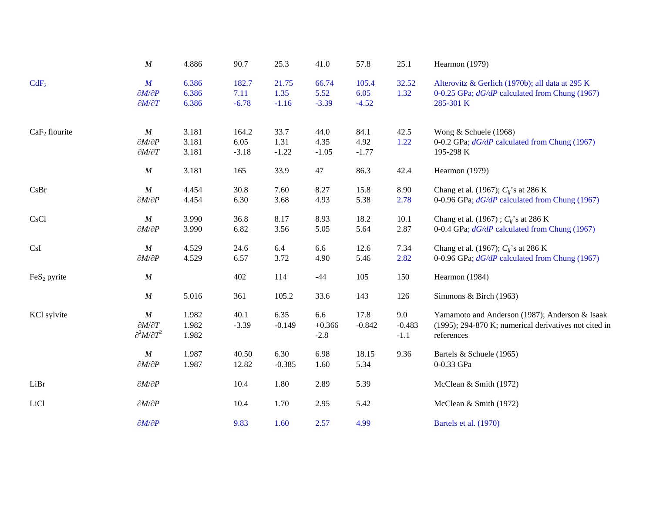|                         | $\cal M$                                                               | 4.886                   | 90.7                     | 25.3                     | 41.0                      | 57.8                     | 25.1                      | Hearmon (1979)                                                                                                        |
|-------------------------|------------------------------------------------------------------------|-------------------------|--------------------------|--------------------------|---------------------------|--------------------------|---------------------------|-----------------------------------------------------------------------------------------------------------------------|
| CdF <sub>2</sub>        | $\boldsymbol{M}$<br>$\partial M/\partial P$<br>$\partial M/\partial T$ | 6.386<br>6.386<br>6.386 | 182.7<br>7.11<br>$-6.78$ | 21.75<br>1.35<br>$-1.16$ | 66.74<br>5.52<br>$-3.39$  | 105.4<br>6.05<br>$-4.52$ | 32.52<br>1.32             | Alterovitz & Gerlich (1970b); all data at 295 K<br>0-0.25 GPa; dG/dP calculated from Chung (1967)<br>285-301 K        |
| $CaF2$ flourite         | $\cal M$<br>$\partial M/\partial P$<br>$\partial M/\partial T$         | 3.181<br>3.181<br>3.181 | 164.2<br>6.05<br>$-3.18$ | 33.7<br>1.31<br>$-1.22$  | 44.0<br>4.35<br>$-1.05$   | 84.1<br>4.92<br>$-1.77$  | 42.5<br>1.22              | Wong & Schuele (1968)<br>0-0.2 GPa; $dG/dP$ calculated from Chung (1967)<br>195-298 K                                 |
|                         | $\boldsymbol{M}$                                                       | 3.181                   | 165                      | 33.9                     | $47\,$                    | 86.3                     | 42.4                      | Hearmon (1979)                                                                                                        |
| CsBr                    | $\cal M$<br>$\partial M/\partial P$                                    | 4.454<br>4.454          | 30.8<br>6.30             | 7.60<br>3.68             | 8.27<br>4.93              | 15.8<br>5.38             | 8.90<br>2.78              | Chang et al. (1967); $C_{ij}$ 's at 286 K<br>0-0.96 GPa; $dG/dP$ calculated from Chung (1967)                         |
| <b>CsCl</b>             | M<br>$\partial M/\partial P$                                           | 3.990<br>3.990          | 36.8<br>6.82             | 8.17<br>3.56             | 8.93<br>5.05              | 18.2<br>5.64             | 10.1<br>2.87              | Chang et al. (1967); $C_{ii}$ 's at 286 K<br>0-0.4 GPa; $dG/dP$ calculated from Chung (1967)                          |
| CsI                     | $\cal M$<br>$\partial M/\partial P$                                    | 4.529<br>4.529          | 24.6<br>6.57             | 6.4<br>3.72              | 6.6<br>4.90               | 12.6<br>5.46             | 7.34<br>2.82              | Chang et al. (1967); $C_{ij}$ 's at 286 K<br>0-0.96 GPa; dG/dP calculated from Chung (1967)                           |
| FeS <sub>2</sub> pyrite | M                                                                      |                         | 402                      | 114                      | $-44$                     | 105                      | 150                       | Hearmon (1984)                                                                                                        |
|                         | M                                                                      | 5.016                   | 361                      | 105.2                    | 33.6                      | 143                      | 126                       | Simmons & Birch (1963)                                                                                                |
| KCl sylvite             | $\cal M$<br>$\partial M/\partial T$<br>$\partial^2 M/\partial T^2$     | 1.982<br>1.982<br>1.982 | 40.1<br>$-3.39$          | 6.35<br>$-0.149$         | 6.6<br>$+0.366$<br>$-2.8$ | 17.8<br>$-0.842$         | 9.0<br>$-0.483$<br>$-1.1$ | Yamamoto and Anderson (1987); Anderson & Isaak<br>(1995); 294-870 K; numerical derivatives not cited in<br>references |
|                         | $\cal M$<br>$\partial M/\partial P$                                    | 1.987<br>1.987          | 40.50<br>12.82           | 6.30<br>$-0.385$         | 6.98<br>1.60              | 18.15<br>5.34            | 9.36                      | Bartels & Schuele (1965)<br>0-0.33 GPa                                                                                |
| LiBr                    | $\partial M/\partial P$                                                |                         | 10.4                     | 1.80                     | 2.89                      | 5.39                     |                           | McClean & Smith (1972)                                                                                                |
| LiCl                    | $\partial M/\partial P$                                                |                         | 10.4                     | 1.70                     | 2.95                      | 5.42                     |                           | McClean & Smith (1972)                                                                                                |
|                         | $\partial M/\partial P$                                                |                         | 9.83                     | 1.60                     | 2.57                      | 4.99                     |                           | Bartels et al. (1970)                                                                                                 |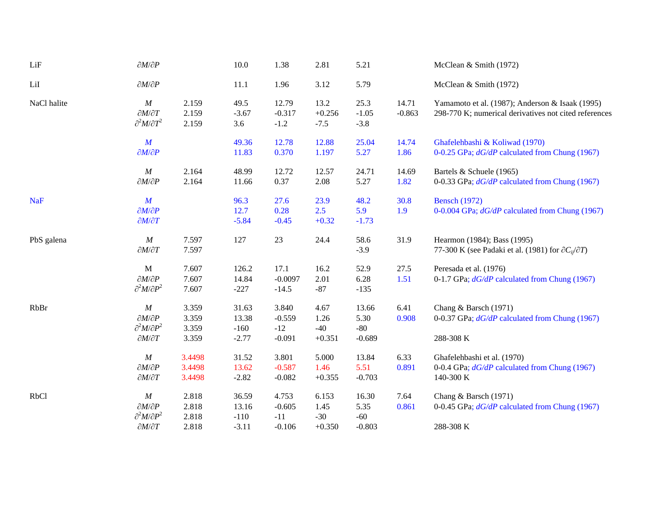| LiF         | $\partial M/\partial P$                                                                       |                                  | 10.0                                | 1.38                                   | 2.81                               | 5.21                               |                   | McClean & Smith (1972)                                                                                   |
|-------------|-----------------------------------------------------------------------------------------------|----------------------------------|-------------------------------------|----------------------------------------|------------------------------------|------------------------------------|-------------------|----------------------------------------------------------------------------------------------------------|
| LiI         | $\partial M/\partial P$                                                                       |                                  | 11.1                                | 1.96                                   | 3.12                               | 5.79                               |                   | McClean & Smith (1972)                                                                                   |
| NaCl halite | M<br>$\partial M/\partial T$<br>$\partial^2 M/\partial T^2$                                   | 2.159<br>2.159<br>2.159          | 49.5<br>$-3.67$<br>3.6              | 12.79<br>$-0.317$<br>$-1.2$            | 13.2<br>$+0.256$<br>$-7.5$         | 25.3<br>$-1.05$<br>$-3.8$          | 14.71<br>$-0.863$ | Yamamoto et al. (1987); Anderson & Isaak (1995)<br>298-770 K; numerical derivatives not cited references |
|             | $\boldsymbol{M}$<br>$\partial M/\partial P$                                                   |                                  | 49.36<br>11.83                      | 12.78<br>0.370                         | 12.88<br>1.197                     | 25.04<br>5.27                      | 14.74<br>1.86     | Ghafelehbashi & Koliwad (1970)<br>0-0.25 GPa; dG/dP calculated from Chung (1967)                         |
|             | $\cal M$<br>$\partial M/\partial P$                                                           | 2.164<br>2.164                   | 48.99<br>11.66                      | 12.72<br>0.37                          | 12.57<br>2.08                      | 24.71<br>5.27                      | 14.69<br>1.82     | Bartels & Schuele (1965)<br>0-0.33 GPa; dG/dP calculated from Chung (1967)                               |
| <b>NaF</b>  | $\boldsymbol{M}$<br>$\partial M/\partial P$<br>$\partial M/\partial T$                        |                                  | 96.3<br>12.7<br>$-5.84$             | 27.6<br>0.28<br>$-0.45$                | 23.9<br>2.5<br>$+0.32$             | 48.2<br>5.9<br>$-1.73$             | 30.8<br>1.9       | <b>Bensch</b> (1972)<br>0-0.004 GPa; dG/dP calculated from Chung (1967)                                  |
| PbS galena  | $\boldsymbol{M}$<br>$\partial M/\partial T$                                                   | 7.597<br>7.597                   | 127                                 | 23                                     | 24.4                               | 58.6<br>$-3.9$                     | 31.9              | Hearmon (1984); Bass (1995)<br>77-300 K (see Padaki et al. (1981) for $\partial C_{ii}/\partial T$ )     |
|             | $\mathbf{M}$<br>$\partial M/\partial P$<br>$\partial^2 M/\partial P^2$                        | 7.607<br>7.607<br>7.607          | 126.2<br>14.84<br>$-227$            | 17.1<br>$-0.0097$<br>$-14.5$           | 16.2<br>2.01<br>$-87$              | 52.9<br>6.28<br>$-135$             | 27.5<br>1.51      | Peresada et al. (1976)<br>0-1.7 GPa; dG/dP calculated from Chung (1967)                                  |
| RbBr        | $\cal M$<br>$\partial M/\partial P$<br>$\partial^2 M/\partial P^2$<br>$\partial M/\partial T$ | 3.359<br>3.359<br>3.359<br>3.359 | 31.63<br>13.38<br>$-160$<br>$-2.77$ | 3.840<br>$-0.559$<br>$-12$<br>$-0.091$ | 4.67<br>1.26<br>$-40$<br>$+0.351$  | 13.66<br>5.30<br>$-80$<br>$-0.689$ | 6.41<br>0.908     | Chang & Barsch (1971)<br>0-0.37 GPa; dG/dP calculated from Chung (1967)<br>288-308 K                     |
|             | $\cal M$<br>$\partial M/\partial P$<br>$\partial M/\partial T$                                | 3.4498<br>3.4498<br>3.4498       | 31.52<br>13.62<br>$-2.82$           | 3.801<br>$-0.587$<br>$-0.082$          | 5.000<br>1.46<br>$+0.355$          | 13.84<br>5.51<br>$-0.703$          | 6.33<br>0.891     | Ghafelehbashi et al. (1970)<br>0-0.4 GPa; $dG/dP$ calculated from Chung (1967)<br>140-300 K              |
| <b>RbCl</b> | $\cal M$<br>$\partial M/\partial P$<br>$\partial^2 M/\partial P^2$<br>$\partial M/\partial T$ | 2.818<br>2.818<br>2.818<br>2.818 | 36.59<br>13.16<br>$-110$<br>$-3.11$ | 4.753<br>$-0.605$<br>$-11$<br>$-0.106$ | 6.153<br>1.45<br>$-30$<br>$+0.350$ | 16.30<br>5.35<br>$-60$<br>$-0.803$ | 7.64<br>0.861     | Chang & Barsch (1971)<br>0-0.45 GPa; $dG/dP$ calculated from Chung (1967)<br>288-308 K                   |